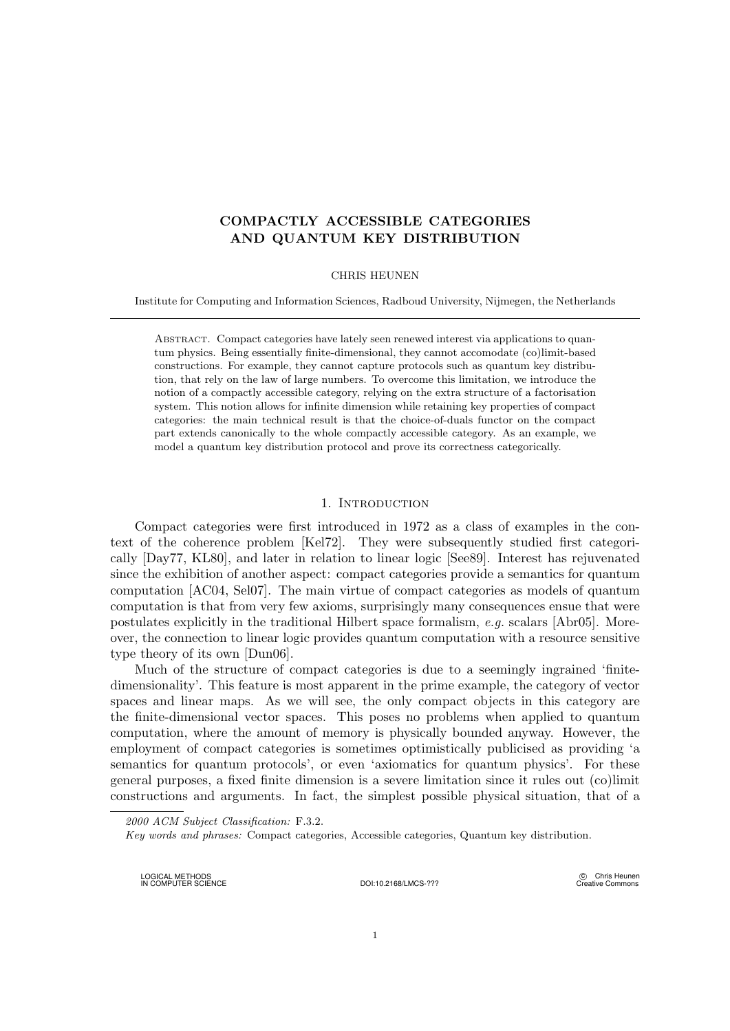# COMPACTLY ACCESSIBLE CATEGORIES AND QUANTUM KEY DISTRIBUTION

# CHRIS HEUNEN

Institute for Computing and Information Sciences, Radboud University, Nijmegen, the Netherlands

Abstract. Compact categories have lately seen renewed interest via applications to quantum physics. Being essentially finite-dimensional, they cannot accomodate (co)limit-based constructions. For example, they cannot capture protocols such as quantum key distribution, that rely on the law of large numbers. To overcome this limitation, we introduce the notion of a compactly accessible category, relying on the extra structure of a factorisation system. This notion allows for infinite dimension while retaining key properties of compact categories: the main technical result is that the choice-of-duals functor on the compact part extends canonically to the whole compactly accessible category. As an example, we model a quantum key distribution protocol and prove its correctness categorically.

# 1. INTRODUCTION

Compact categories were first introduced in 1972 as a class of examples in the context of the coherence problem [Kel72]. They were subsequently studied first categorically [Day77, KL80], and later in relation to linear logic [See89]. Interest has rejuvenated since the exhibition of another aspect: compact categories provide a semantics for quantum computation [AC04, Sel07]. The main virtue of compact categories as models of quantum computation is that from very few axioms, surprisingly many consequences ensue that were postulates explicitly in the traditional Hilbert space formalism, e.g. scalars [Abr05]. Moreover, the connection to linear logic provides quantum computation with a resource sensitive type theory of its own [Dun06].

Much of the structure of compact categories is due to a seemingly ingrained 'finitedimensionality'. This feature is most apparent in the prime example, the category of vector spaces and linear maps. As we will see, the only compact objects in this category are the finite-dimensional vector spaces. This poses no problems when applied to quantum computation, where the amount of memory is physically bounded anyway. However, the employment of compact categories is sometimes optimistically publicised as providing 'a semantics for quantum protocols', or even 'axiomatics for quantum physics'. For these general purposes, a fixed finite dimension is a severe limitation since it rules out (co)limit constructions and arguments. In fact, the simplest possible physical situation, that of a

LOGICAL METHODS IN COMPUTER SCIENCE DOI:10.2168/LMCS-???

(C) Chris Heunen Creative Commons

<sup>2000</sup> ACM Subject Classification: F.3.2.

Key words and phrases: Compact categories, Accessible categories, Quantum key distribution.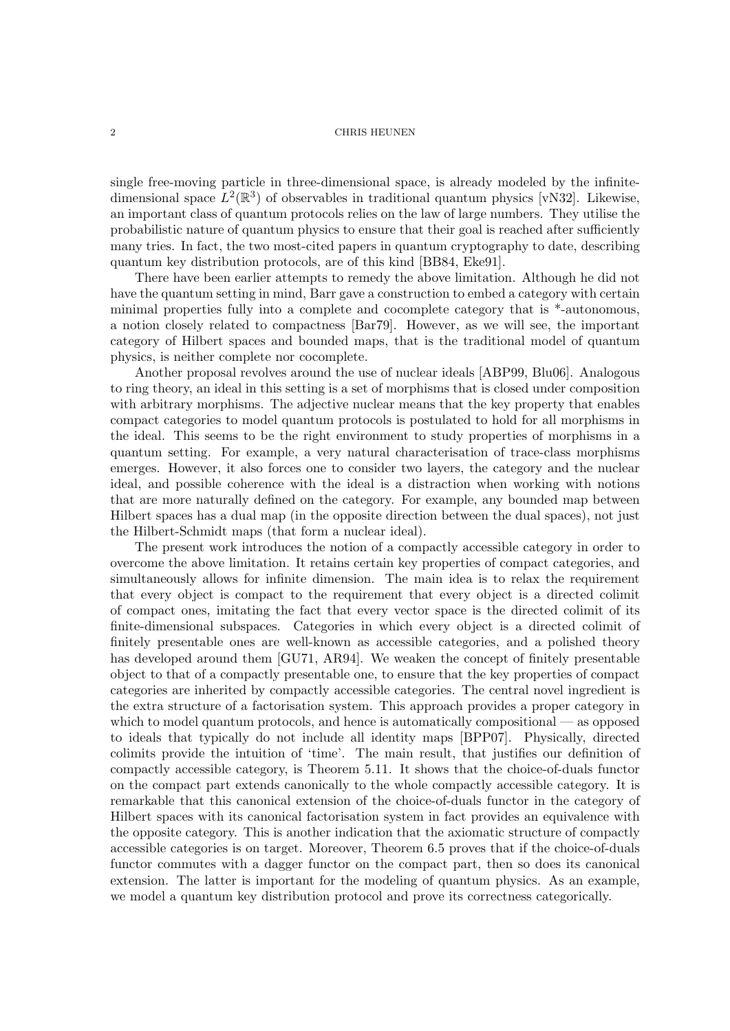single free-moving particle in three-dimensional space, is already modeled by the infinitedimensional space  $L^2(\mathbb{R}^3)$  of observables in traditional quantum physics [vN32]. Likewise, an important class of quantum protocols relies on the law of large numbers. They utilise the probabilistic nature of quantum physics to ensure that their goal is reached after sufficiently many tries. In fact, the two most-cited papers in quantum cryptography to date, describing quantum key distribution protocols, are of this kind [BB84, Eke91].

There have been earlier attempts to remedy the above limitation. Although he did not have the quantum setting in mind, Barr gave a construction to embed a category with certain minimal properties fully into a complete and cocomplete category that is \*-autonomous, a notion closely related to compactness [Bar79]. However, as we will see, the important category of Hilbert spaces and bounded maps, that is the traditional model of quantum physics, is neither complete nor cocomplete.

Another proposal revolves around the use of nuclear ideals [ABP99, Blu06]. Analogous to ring theory, an ideal in this setting is a set of morphisms that is closed under composition with arbitrary morphisms. The adjective nuclear means that the key property that enables compact categories to model quantum protocols is postulated to hold for all morphisms in the ideal. This seems to be the right environment to study properties of morphisms in a quantum setting. For example, a very natural characterisation of trace-class morphisms emerges. However, it also forces one to consider two layers, the category and the nuclear ideal, and possible coherence with the ideal is a distraction when working with notions that are more naturally defined on the category. For example, any bounded map between Hilbert spaces has a dual map (in the opposite direction between the dual spaces), not just the Hilbert-Schmidt maps (that form a nuclear ideal).

The present work introduces the notion of a compactly accessible category in order to overcome the above limitation. It retains certain key properties of compact categories, and simultaneously allows for infinite dimension. The main idea is to relax the requirement that every object is compact to the requirement that every object is a directed colimit of compact ones, imitating the fact that every vector space is the directed colimit of its finite-dimensional subspaces. Categories in which every object is a directed colimit of finitely presentable ones are well-known as accessible categories, and a polished theory has developed around them [GU71, AR94]. We weaken the concept of finitely presentable object to that of a compactly presentable one, to ensure that the key properties of compact categories are inherited by compactly accessible categories. The central novel ingredient is the extra structure of a factorisation system. This approach provides a proper category in which to model quantum protocols, and hence is automatically compositional — as opposed to ideals that typically do not include all identity maps [BPP07]. Physically, directed colimits provide the intuition of 'time'. The main result, that justifies our definition of compactly accessible category, is Theorem 5.11. It shows that the choice-of-duals functor on the compact part extends canonically to the whole compactly accessible category. It is remarkable that this canonical extension of the choice-of-duals functor in the category of Hilbert spaces with its canonical factorisation system in fact provides an equivalence with the opposite category. This is another indication that the axiomatic structure of compactly accessible categories is on target. Moreover, Theorem 6.5 proves that if the choice-of-duals functor commutes with a dagger functor on the compact part, then so does its canonical extension. The latter is important for the modeling of quantum physics. As an example, we model a quantum key distribution protocol and prove its correctness categorically.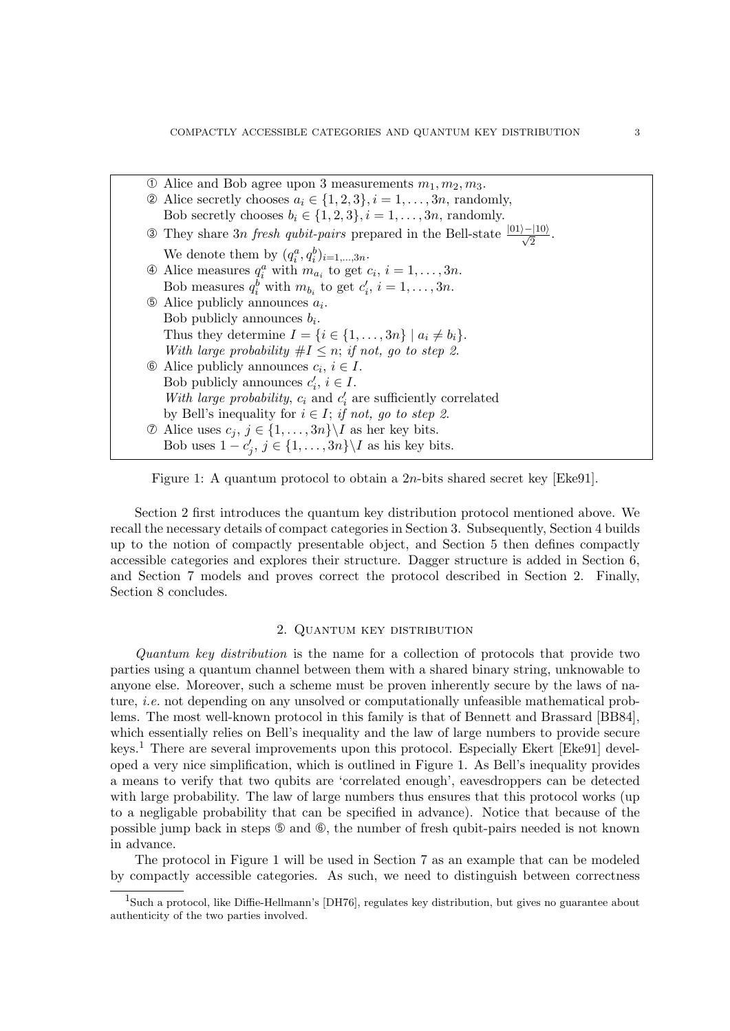| $\Phi$ Alice and Bob agree upon 3 measurements $m_1, m_2, m_3$ .                                        |
|---------------------------------------------------------------------------------------------------------|
| $\Omega$ Alice secretly chooses $a_i \in \{1, 2, 3\}, i = 1, , 3n$ , randomly,                          |
| Bob secretly chooses $b_i \in \{1, 2, 3\}, i = 1, , 3n$ , randomly.                                     |
| 3 They share 3n fresh qubit-pairs prepared in the Bell-state $\frac{ 01\rangle- 10\rangle}{\sqrt{2}}$ . |
| We denote them by $(q_i^a, q_i^b)_{i=1,\dots,3n}$ .                                                     |
| $\Phi$ Alice measures $q_i^a$ with $m_{a_i}$ to get $c_i$ , $i = 1, \ldots, 3n$ .                       |
| Bob measures $q_i^b$ with $m_{b_i}$ to get $c'_i$ , $i = 1, \ldots, 3n$ .                               |
| $\circled{b}$ Alice publicly announces $a_i$ .                                                          |
| Bob publicly announces $b_i$ .                                                                          |
| Thus they determine $I = \{i \in \{1, \ldots, 3n\} \mid a_i \neq b_i\}.$                                |
| With large probability $\#I \leq n$ ; if not, go to step 2.                                             |
| $\circled{b}$ Alice publicly announces $c_i, i \in I$ .                                                 |
| Bob publicly announces $c'_i, i \in I$ .                                                                |
| With large probability, $c_i$ and $c'_i$ are sufficiently correlated                                    |
| by Bell's inequality for $i \in I$ ; if not, go to step 2.                                              |
| $\circled{1}$ Alice uses $c_j, j \in \{1, , 3n\} \backslash I$ as her key bits.                         |
| Bob uses $1 - c'_j$ , $j \in \{1, , 3n\} \backslash I$ as his key bits.                                 |

Figure 1: A quantum protocol to obtain a 2n-bits shared secret key [Eke91].

Section 2 first introduces the quantum key distribution protocol mentioned above. We recall the necessary details of compact categories in Section 3. Subsequently, Section 4 builds up to the notion of compactly presentable object, and Section 5 then defines compactly accessible categories and explores their structure. Dagger structure is added in Section 6, and Section 7 models and proves correct the protocol described in Section 2. Finally, Section 8 concludes.

# 2. Quantum key distribution

Quantum key distribution is the name for a collection of protocols that provide two parties using a quantum channel between them with a shared binary string, unknowable to anyone else. Moreover, such a scheme must be proven inherently secure by the laws of nature, *i.e.* not depending on any unsolved or computationally unfeasible mathematical problems. The most well-known protocol in this family is that of Bennett and Brassard [BB84], which essentially relies on Bell's inequality and the law of large numbers to provide secure keys.<sup>1</sup> There are several improvements upon this protocol. Especially Ekert [Eke91] developed a very nice simplification, which is outlined in Figure 1. As Bell's inequality provides a means to verify that two qubits are 'correlated enough', eavesdroppers can be detected with large probability. The law of large numbers thus ensures that this protocol works (up to a negligable probability that can be specified in advance). Notice that because of the possible jump back in steps  $\circledcirc$  and  $\circledcirc$ , the number of fresh qubit-pairs needed is not known in advance.

The protocol in Figure 1 will be used in Section 7 as an example that can be modeled by compactly accessible categories. As such, we need to distinguish between correctness

<sup>&</sup>lt;sup>1</sup>Such a protocol, like Diffie-Hellmann's [DH76], regulates key distribution, but gives no guarantee about authenticity of the two parties involved.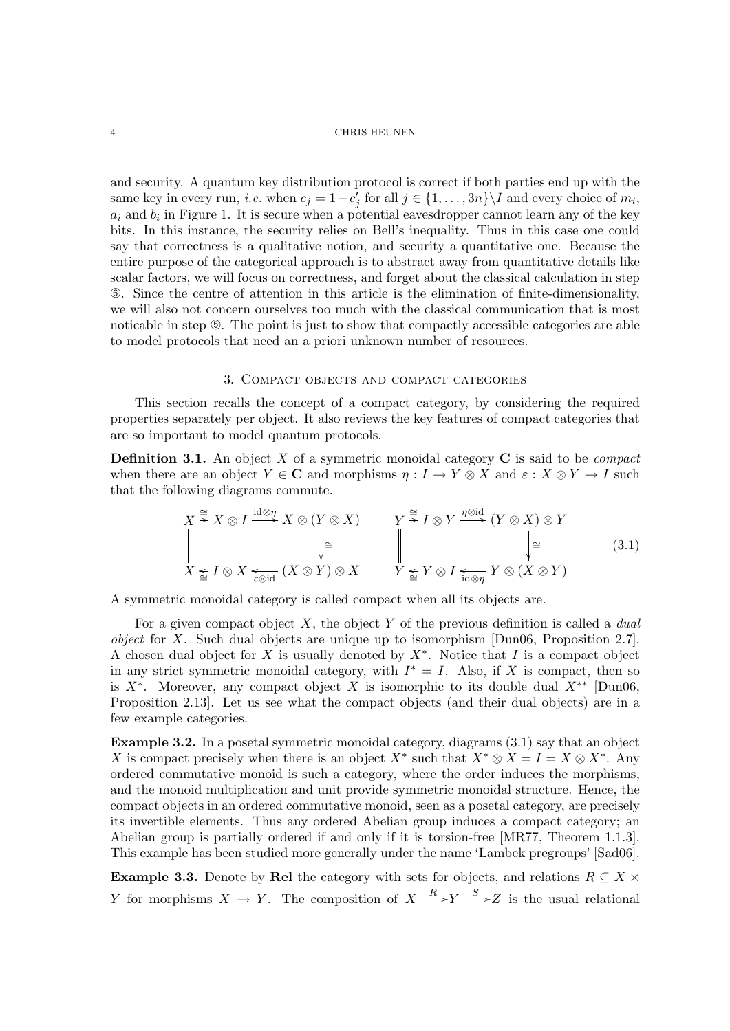and security. A quantum key distribution protocol is correct if both parties end up with the same key in every run, *i.e.* when  $c_j = 1 - c'_j$  for all  $j \in \{1, ..., 3n\} \setminus I$  and every choice of  $m_i$ ,  $a_i$  and  $b_i$  in Figure 1. It is secure when a potential eavesdropper cannot learn any of the key bits. In this instance, the security relies on Bell's inequality. Thus in this case one could say that correctness is a qualitative notion, and security a quantitative one. Because the entire purpose of the categorical approach is to abstract away from quantitative details like scalar factors, we will focus on correctness, and forget about the classical calculation in step ➅. Since the centre of attention in this article is the elimination of finite-dimensionality, we will also not concern ourselves too much with the classical communication that is most noticable in step  $\circled{S}$ . The point is just to show that compactly accessible categories are able to model protocols that need an a priori unknown number of resources.

### 3. Compact objects and compact categories

This section recalls the concept of a compact category, by considering the required properties separately per object. It also reviews the key features of compact categories that are so important to model quantum protocols.

**Definition 3.1.** An object X of a symmetric monoidal category  $C$  is said to be *compact* when there are an object  $Y \in \mathbb{C}$  and morphisms  $\eta: I \to Y \otimes X$  and  $\varepsilon: X \otimes Y \to I$  such that the following diagrams commute.

$$
X \stackrel{\cong}{\cong} X \otimes I \xrightarrow{\text{id} \otimes \eta} X \otimes (Y \otimes X) \qquad Y \stackrel{\cong}{\cong} I \otimes Y \xrightarrow{\eta \otimes \text{id}} (Y \otimes X) \otimes Y
$$
  

$$
\downarrow \cong \qquad \qquad \downarrow \cong \qquad \qquad \downarrow \cong \qquad \qquad \downarrow \cong
$$
  

$$
X \leq I \otimes X \leq \text{Syl} \quad (X \otimes Y) \otimes X \qquad Y \leq Y \otimes I \leq \text{Syl} \quad Y \otimes (X \otimes Y)
$$
  

$$
(3.1)
$$

A symmetric monoidal category is called compact when all its objects are.

For a given compact object X, the object Y of the previous definition is called a *dual object* for X. Such dual objects are unique up to isomorphism  $(Dun06, Proposition 2.7)$ . A chosen dual object for X is usually denoted by  $X^*$ . Notice that I is a compact object in any strict symmetric monoidal category, with  $I^* = I$ . Also, if X is compact, then so is  $X^*$ . Moreover, any compact object X is isomorphic to its double dual  $X^{**}$  [Dun06, Proposition 2.13]. Let us see what the compact objects (and their dual objects) are in a few example categories.

Example 3.2. In a posetal symmetric monoidal category, diagrams (3.1) say that an object X is compact precisely when there is an object  $X^*$  such that  $X^* \otimes X = I = X \otimes X^*$ . Any ordered commutative monoid is such a category, where the order induces the morphisms, and the monoid multiplication and unit provide symmetric monoidal structure. Hence, the compact objects in an ordered commutative monoid, seen as a posetal category, are precisely its invertible elements. Thus any ordered Abelian group induces a compact category; an Abelian group is partially ordered if and only if it is torsion-free [MR77, Theorem 1.1.3]. This example has been studied more generally under the name 'Lambek pregroups' [Sad06].

**Example 3.3.** Denote by Rel the category with sets for objects, and relations  $R \subseteq X \times$ Y for morphisms  $X \to Y$ . The composition of  $X \xrightarrow{R} Y \xrightarrow{S} Z$  is the usual relational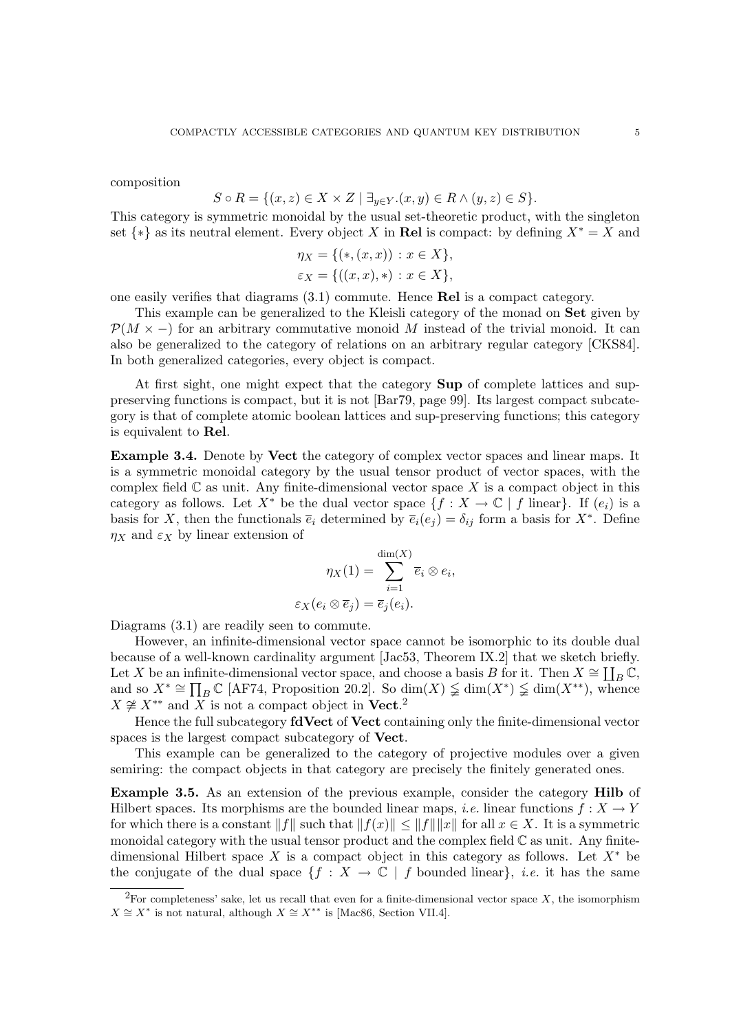composition

$$
S \circ R = \{(x, z) \in X \times Z \mid \exists_{y \in Y}. (x, y) \in R \land (y, z) \in S\}.
$$

This category is symmetric monoidal by the usual set-theoretic product, with the singleton set  $\{*\}$  as its neutral element. Every object X in Rel is compact: by defining  $X^* = X$  and

$$
\eta_X = \{ (*, (x, x)) : x \in X \},
$$
  

$$
\varepsilon_X = \{ ((x, x), *) : x \in X \},
$$

one easily verifies that diagrams (3.1) commute. Hence Rel is a compact category.

This example can be generalized to the Kleisli category of the monad on Set given by  $\mathcal{P}(M \times -)$  for an arbitrary commutative monoid M instead of the trivial monoid. It can also be generalized to the category of relations on an arbitrary regular category [CKS84]. In both generalized categories, every object is compact.

At first sight, one might expect that the category Sup of complete lattices and suppreserving functions is compact, but it is not [Bar79, page 99]. Its largest compact subcategory is that of complete atomic boolean lattices and sup-preserving functions; this category is equivalent to Rel.

Example 3.4. Denote by Vect the category of complex vector spaces and linear maps. It is a symmetric monoidal category by the usual tensor product of vector spaces, with the complex field  $\mathbb C$  as unit. Any finite-dimensional vector space X is a compact object in this category as follows. Let  $X^*$  be the dual vector space  $\{f : X \to \mathbb{C} \mid f \text{ linear}\}\.$  If  $(e_i)$  is a basis for X, then the functionals  $\overline{e}_i$  determined by  $\overline{e}_i(e_j) = \delta_{ij}$  form a basis for  $X^*$ . Define  $\eta_X$  and  $\varepsilon_X$  by linear extension of

$$
\eta_X(1) = \sum_{i=1}^{\dim(X)} \overline{e}_i \otimes e_i,
$$
  

$$
\varepsilon_X(e_i \otimes \overline{e}_j) = \overline{e}_j(e_i).
$$

Diagrams  $(3.1)$  are readily seen to commute.

However, an infinite-dimensional vector space cannot be isomorphic to its double dual because of a well-known cardinality argument [Jac53, Theorem IX.2] that we sketch briefly. Let X be an infinite-dimensional vector space, and choose a basis B for it. Then  $X \cong \coprod_B \mathbb{C}$ , and so  $X^* \cong \prod_B \mathbb{C}$  [AF74, Proposition 20.2]. So  $\dim(X) \nleq \dim(X^*) \nleq \dim(X^{**})$ , whence  $X \not\cong X^{**}$  and X is not a compact object in **Vect.**<sup>2</sup>

Hence the full subcategory fdVect of Vect containing only the finite-dimensional vector spaces is the largest compact subcategory of Vect.

This example can be generalized to the category of projective modules over a given semiring: the compact objects in that category are precisely the finitely generated ones.

Example 3.5. As an extension of the previous example, consider the category Hilb of Hilbert spaces. Its morphisms are the bounded linear maps, *i.e.* linear functions  $f: X \to Y$ for which there is a constant  $||f||$  such that  $||f(x)|| \le ||f|| ||x||$  for all  $x \in X$ . It is a symmetric monoidal category with the usual tensor product and the complex field  $\mathbb C$  as unit. Any finitedimensional Hilbert space X is a compact object in this category as follows. Let  $X^*$  be the conjugate of the dual space  $\{f : X \to \mathbb{C} \mid f \text{ bounded linear}\}\$ , *i.e.* it has the same

<sup>&</sup>lt;sup>2</sup>For completeness' sake, let us recall that even for a finite-dimensional vector space  $X$ , the isomorphism  $X \cong X^*$  is not natural, although  $X \cong X^{**}$  is [Mac86, Section VII.4].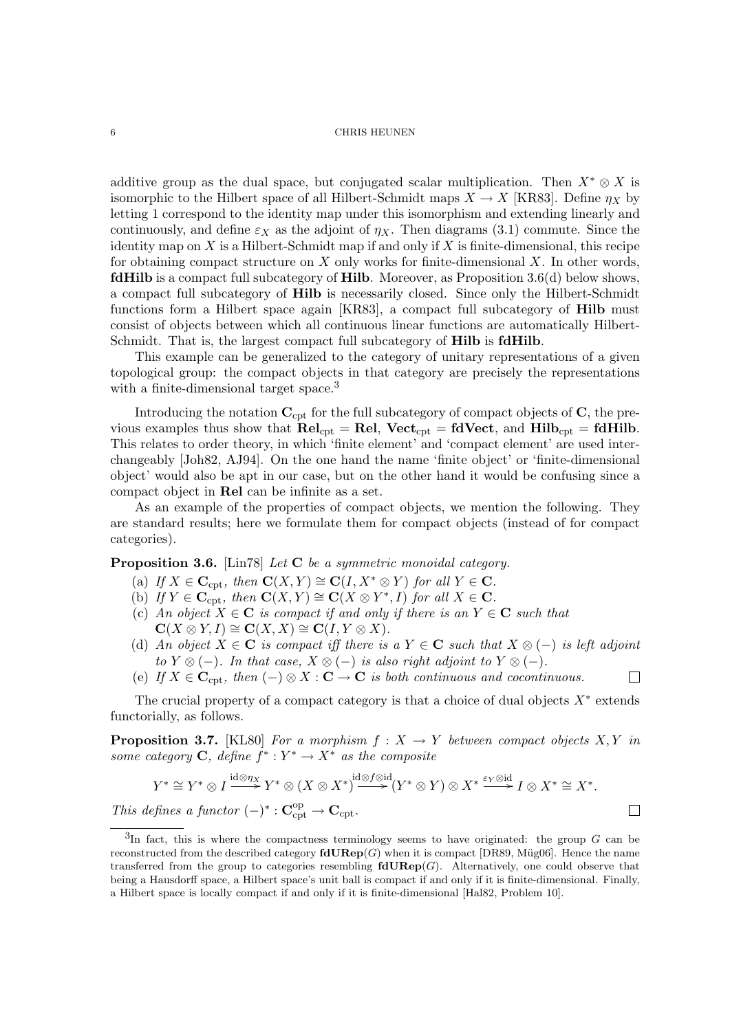additive group as the dual space, but conjugated scalar multiplication. Then  $X^* \otimes X$  is isomorphic to the Hilbert space of all Hilbert-Schmidt maps  $X \to X$  [KR83]. Define  $\eta_X$  by letting 1 correspond to the identity map under this isomorphism and extending linearly and continuously, and define  $\varepsilon_X$  as the adjoint of  $\eta_X$ . Then diagrams (3.1) commute. Since the identity map on  $X$  is a Hilbert-Schmidt map if and only if  $X$  is finite-dimensional, this recipe for obtaining compact structure on  $X$  only works for finite-dimensional  $X$ . In other words, fdHilb is a compact full subcategory of Hilb. Moreover, as Proposition 3.6(d) below shows, a compact full subcategory of Hilb is necessarily closed. Since only the Hilbert-Schmidt functions form a Hilbert space again [KR83], a compact full subcategory of Hilb must consist of objects between which all continuous linear functions are automatically Hilbert-Schmidt. That is, the largest compact full subcategory of Hilb is fdHilb.

This example can be generalized to the category of unitary representations of a given topological group: the compact objects in that category are precisely the representations with a finite-dimensional target space.<sup>3</sup>

Introducing the notation  $C_{\text{cpt}}$  for the full subcategory of compact objects of  $C$ , the previous examples thus show that  $\text{Rel}_{\text{cpt}} = \text{Rel}$ ,  $\text{Vect}_{\text{cpt}} = \text{fd} \text{Vect}$ , and  $\text{Hilb}_{\text{cpt}} = \text{fd} \text{Hilb}$ . This relates to order theory, in which 'finite element' and 'compact element' are used interchangeably [Joh82, AJ94]. On the one hand the name 'finite object' or 'finite-dimensional object' would also be apt in our case, but on the other hand it would be confusing since a compact object in Rel can be infinite as a set.

As an example of the properties of compact objects, we mention the following. They are standard results; here we formulate them for compact objects (instead of for compact categories).

Proposition 3.6. [Lin78] Let C be a symmetric monoidal category.

- (a) If  $X \in \mathbf{C}_{\mathrm{cpt}}$ , then  $\mathbf{C}(X, Y) \cong \mathbf{C}(I, X^* \otimes Y)$  for all  $Y \in \mathbf{C}$ .
- (b) If  $Y \in \mathbf{C}_{\mathrm{cpt}}$ , then  $\mathbf{C}(X,Y) \cong \mathbf{C}(X \otimes Y^*,I)$  for all  $X \in \mathbf{C}$ .
- (c) An object  $X \in \mathbb{C}$  is compact if and only if there is an  $Y \in \mathbb{C}$  such that  $\mathbf{C}(X \otimes Y, I) \cong \mathbf{C}(X, X) \cong \mathbf{C}(I, Y \otimes X).$
- (d) An object  $X \in \mathbb{C}$  is compact iff there is a  $Y \in \mathbb{C}$  such that  $X \otimes (-)$  is left adjoint to  $Y \otimes (-)$ . In that case,  $X \otimes (-)$  is also right adjoint to  $Y \otimes (-)$ .

П

 $\Box$ 

(e) If  $X \in \mathbf{C}_{\text{cnt}}$ , then  $(-) \otimes X : \mathbf{C} \to \mathbf{C}$  is both continuous and cocontinuous.

The crucial property of a compact category is that a choice of dual objects  $X^*$  extends functorially, as follows.

**Proposition 3.7.** [KL80] For a morphism  $f : X \to Y$  between compact objects X, Y in some category **C**, define  $f^*: Y^* \to X^*$  as the composite

$$
Y^* \cong Y^* \otimes I \xrightarrow{\mathrm{id} \otimes \eta_X} Y^* \otimes (X \otimes X^*) \xrightarrow{\mathrm{id} \otimes f \otimes \mathrm{id}} (Y^* \otimes Y) \otimes X^* \xrightarrow{\varepsilon_Y \otimes \mathrm{id}} I \otimes X^* \cong X^*.
$$
  
defines a functor  $(-)^* : \mathbf{C}_{\mathrm{ext}}^{\mathrm{op}} \to \mathbf{C}_{\mathrm{crt}}.$ 

This def : C  $v_{\text{cpt}} \rightarrow \cup_{\text{cpt}}$ 

 ${}^{3}$ In fact, this is where the compactness terminology seems to have originated: the group G can be reconstructed from the described category  $\text{fdURep}(G)$  when it is compact [DR89, Müg06]. Hence the name transferred from the group to categories resembling  $\mathbf{fdURep}(G)$ . Alternatively, one could observe that being a Hausdorff space, a Hilbert space's unit ball is compact if and only if it is finite-dimensional. Finally, a Hilbert space is locally compact if and only if it is finite-dimensional [Hal82, Problem 10].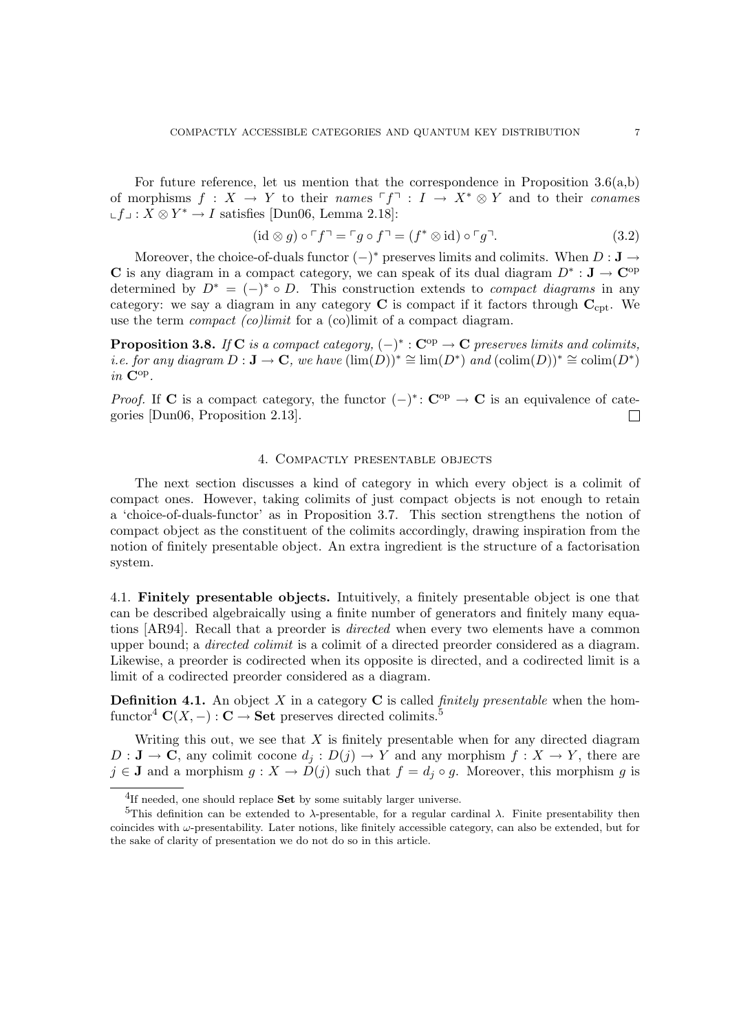For future reference, let us mention that the correspondence in Proposition 3.6(a,b) of morphisms  $f : X \to Y$  to their names  $\ulcorner f \urcorner : I \to X^* \otimes Y$  and to their conames ∟ $f \perp : X \otimes Y^* \to I$  satisfies [Dun06, Lemma 2.18]:

$$
(\mathrm{id}\otimes g)\circ \ulcorner f\urcorner = \ulcorner g\circ f\urcorner = (f^*\otimes \mathrm{id})\circ \ulcorner g\urcorner. \tag{3.2}
$$

Moreover, the choice-of-duals functor  $(-)^*$  preserves limits and colimits. When  $D: \mathbf{J} \to$ C is any diagram in a compact category, we can speak of its dual diagram  $D^* : \mathbf{J} \to \mathbf{C}^{\mathrm{op}}$ determined by  $D^* = (-)^* \circ D$ . This construction extends to *compact diagrams* in any category: we say a diagram in any category  $C$  is compact if it factors through  $C_{\text{cpt}}$ . We use the term *compact* (co)limit for a (co)limit of a compact diagram.

**Proposition 3.8.** If C is a compact category,  $(-)^* : \mathbb{C}^{op} \to \mathbb{C}$  preserves limits and colimits, i.e. for any diagram  $D: \mathbf{J} \to \mathbf{C}$ , we have  $(\lim(D))^* \cong \lim(D^*)$  and  $(\text{colim}(D))^* \cong \text{colim}(D^*)$  $in \ \mathbf{C}^\mathrm{op}.$ 

*Proof.* If C is a compact category, the functor  $(-)^*$ : C<sup>op</sup>  $\rightarrow$  C is an equivalence of categories [Dun06, Proposition 2.13]. П

#### 4. Compactly presentable objects

The next section discusses a kind of category in which every object is a colimit of compact ones. However, taking colimits of just compact objects is not enough to retain a 'choice-of-duals-functor' as in Proposition 3.7. This section strengthens the notion of compact object as the constituent of the colimits accordingly, drawing inspiration from the notion of finitely presentable object. An extra ingredient is the structure of a factorisation system.

4.1. Finitely presentable objects. Intuitively, a finitely presentable object is one that can be described algebraically using a finite number of generators and finitely many equations [AR94]. Recall that a preorder is directed when every two elements have a common upper bound; a directed colimit is a colimit of a directed preorder considered as a diagram. Likewise, a preorder is codirected when its opposite is directed, and a codirected limit is a limit of a codirected preorder considered as a diagram.

**Definition 4.1.** An object  $X$  in a category  $C$  is called *finitely presentable* when the homfunctor<sup>4</sup>  $\mathbf{C}(X, -): \mathbf{C} \to \mathbf{Set}$  preserves directed colimits.<sup>5</sup>

Writing this out, we see that  $X$  is finitely presentable when for any directed diagram  $D: \mathbf{J} \to \mathbf{C}$ , any colimit cocone  $d_i: D(j) \to Y$  and any morphism  $f: X \to Y$ , there are  $j \in J$  and a morphism  $g: X \to D(j)$  such that  $f = d_j \circ g$ . Moreover, this morphism g is

 ${}^{4}$ If needed, one should replace **Set** by some suitably larger universe.

<sup>&</sup>lt;sup>5</sup>This definition can be extended to  $\lambda$ -presentable, for a regular cardinal  $\lambda$ . Finite presentability then coincides with  $\omega$ -presentability. Later notions, like finitely accessible category, can also be extended, but for the sake of clarity of presentation we do not do so in this article.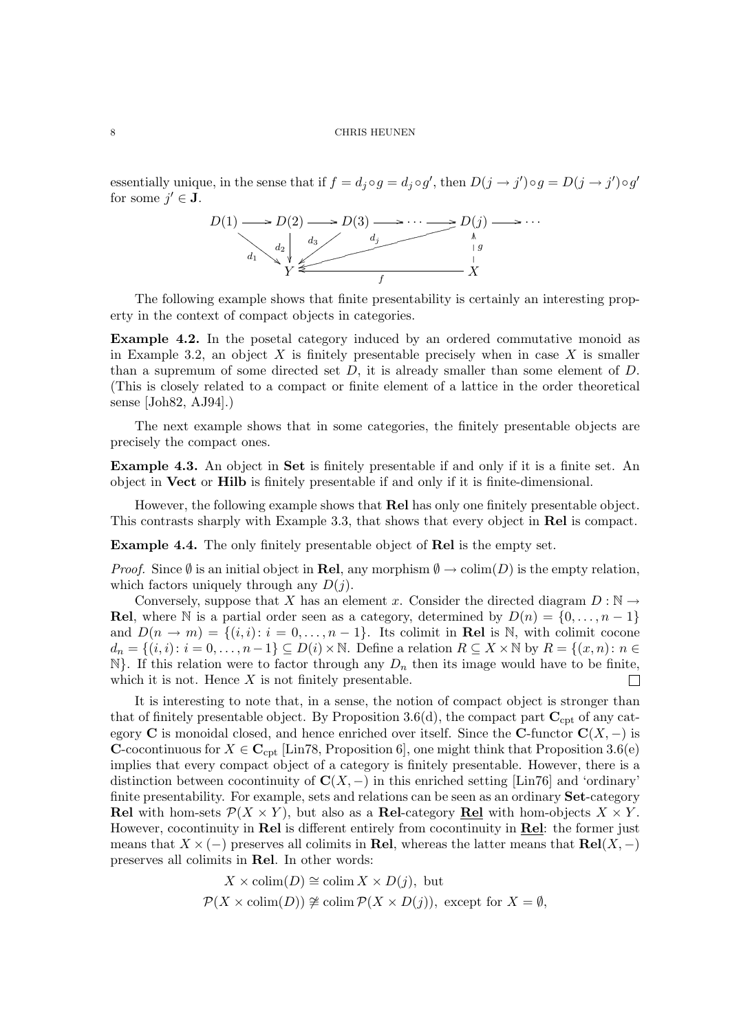essentially unique, in the sense that if  $f = d_j \circ g = d_j \circ g'$ , then  $D(j \to j') \circ g = D(j \to j') \circ g'$ for some  $j' \in J$ .



The following example shows that finite presentability is certainly an interesting property in the context of compact objects in categories.

Example 4.2. In the posetal category induced by an ordered commutative monoid as in Example 3.2, an object  $X$  is finitely presentable precisely when in case  $X$  is smaller than a supremum of some directed set  $D$ , it is already smaller than some element of  $D$ . (This is closely related to a compact or finite element of a lattice in the order theoretical sense [Joh82, AJ94].)

The next example shows that in some categories, the finitely presentable objects are precisely the compact ones.

Example 4.3. An object in Set is finitely presentable if and only if it is a finite set. An object in Vect or Hilb is finitely presentable if and only if it is finite-dimensional.

However, the following example shows that Rel has only one finitely presentable object. This contrasts sharply with Example 3.3, that shows that every object in Rel is compact.

Example 4.4. The only finitely presentable object of Rel is the empty set.

*Proof.* Since  $\emptyset$  is an initial object in **Rel**, any morphism  $\emptyset \to \text{colim}(D)$  is the empty relation, which factors uniquely through any  $D(j)$ .

Conversely, suppose that X has an element x. Consider the directed diagram  $D : \mathbb{N} \to$ Rel, where N is a partial order seen as a category, determined by  $D(n) = \{0, \ldots, n-1\}$ and  $D(n \to m) = \{(i, i): i = 0, \ldots, n-1\}$ . Its colimit in Rel is N, with colimit cocone  $d_n = \{(i, i): i = 0, \ldots, n-1\} \subseteq D(i) \times \mathbb{N}$ . Define a relation  $R \subseteq X \times \mathbb{N}$  by  $R = \{(x, n): n \in \mathbb{N}\}$  $\mathbb{N}\}.$  If this relation were to factor through any  $D_n$  then its image would have to be finite, which it is not. Hence  $X$  is not finitely presentable.  $\Box$ 

It is interesting to note that, in a sense, the notion of compact object is stronger than that of finitely presentable object. By Proposition 3.6(d), the compact part  $C_{\rm cpt}$  of any category C is monoidal closed, and hence enriched over itself. Since the C-functor  $C(X, -)$  is **C**-cocontinuous for  $X \in \mathbb{C}_{\text{cpt}}$  [Lin78, Proposition 6], one might think that Proposition 3.6(e) implies that every compact object of a category is finitely presentable. However, there is a distinction between cocontinuity of  $\mathbf{C}(X, -)$  in this enriched setting [Lin76] and 'ordinary' finite presentability. For example, sets and relations can be seen as an ordinary **Set**-category **Rel** with hom-sets  $\mathcal{P}(X \times Y)$ , but also as a **Rel**-category **Rel** with hom-objects  $X \times Y$ . However, cocontinuity in Rel is different entirely from cocontinuity in Rel: the former just means that  $X \times (-)$  preserves all colimits in Rel, whereas the latter means that Rel(X, −) preserves all colimits in Rel. In other words:

$$
X \times \text{colim}(D) \cong \text{colim } X \times D(j), \text{ but}
$$
  

$$
\mathcal{P}(X \times \text{colim}(D)) \ncong \text{colim } \mathcal{P}(X \times D(j)), \text{ except for } X = \emptyset,
$$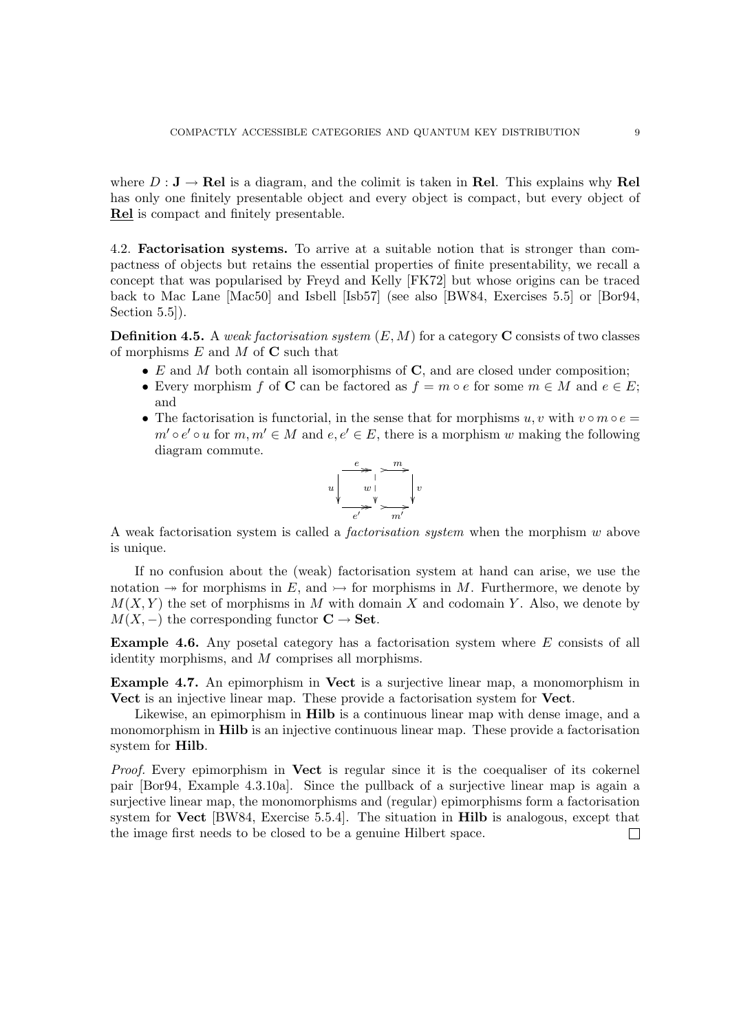where  $D: \mathbf{J} \to \mathbf{Rel}$  is a diagram, and the colimit is taken in Rel. This explains why Rel has only one finitely presentable object and every object is compact, but every object of Rel is compact and finitely presentable.

4.2. Factorisation systems. To arrive at a suitable notion that is stronger than compactness of objects but retains the essential properties of finite presentability, we recall a concept that was popularised by Freyd and Kelly [FK72] but whose origins can be traced back to Mac Lane [Mac50] and Isbell [Isb57] (see also [BW84, Exercises 5.5] or [Bor94, Section  $5.5$ ].

**Definition 4.5.** A weak factorisation system  $(E, M)$  for a category **C** consists of two classes of morphisms  $E$  and  $M$  of  $C$  such that

- $E$  and  $M$  both contain all isomorphisms of  $C$ , and are closed under composition;
- Every morphism f of C can be factored as  $f = m \circ e$  for some  $m \in M$  and  $e \in E$ ; and
- The factorisation is functorial, in the sense that for morphisms  $u, v$  with  $v \circ m \circ e =$  $m' \circ e' \circ u$  for  $m, m' \in M$  and  $e, e' \in E$ , there is a morphism w making the following diagram commute.



A weak factorisation system is called a factorisation system when the morphism w above is unique.

If no confusion about the (weak) factorisation system at hand can arise, we use the notation  $\rightarrow$  for morphisms in E, and  $\rightarrow$  for morphisms in M. Furthermore, we denote by  $M(X, Y)$  the set of morphisms in M with domain X and codomain Y. Also, we denote by  $M(X, -)$  the corresponding functor  $C \rightarrow$  Set.

Example 4.6. Any posetal category has a factorisation system where E consists of all identity morphisms, and M comprises all morphisms.

Example 4.7. An epimorphism in Vect is a surjective linear map, a monomorphism in Vect is an injective linear map. These provide a factorisation system for Vect.

Likewise, an epimorphism in **Hilb** is a continuous linear map with dense image, and a monomorphism in Hilb is an injective continuous linear map. These provide a factorisation system for Hilb.

Proof. Every epimorphism in Vect is regular since it is the coequaliser of its cokernel pair [Bor94, Example 4.3.10a]. Since the pullback of a surjective linear map is again a surjective linear map, the monomorphisms and (regular) epimorphisms form a factorisation system for Vect [BW84, Exercise 5.5.4]. The situation in Hilb is analogous, except that the image first needs to be closed to be a genuine Hilbert space. $\Box$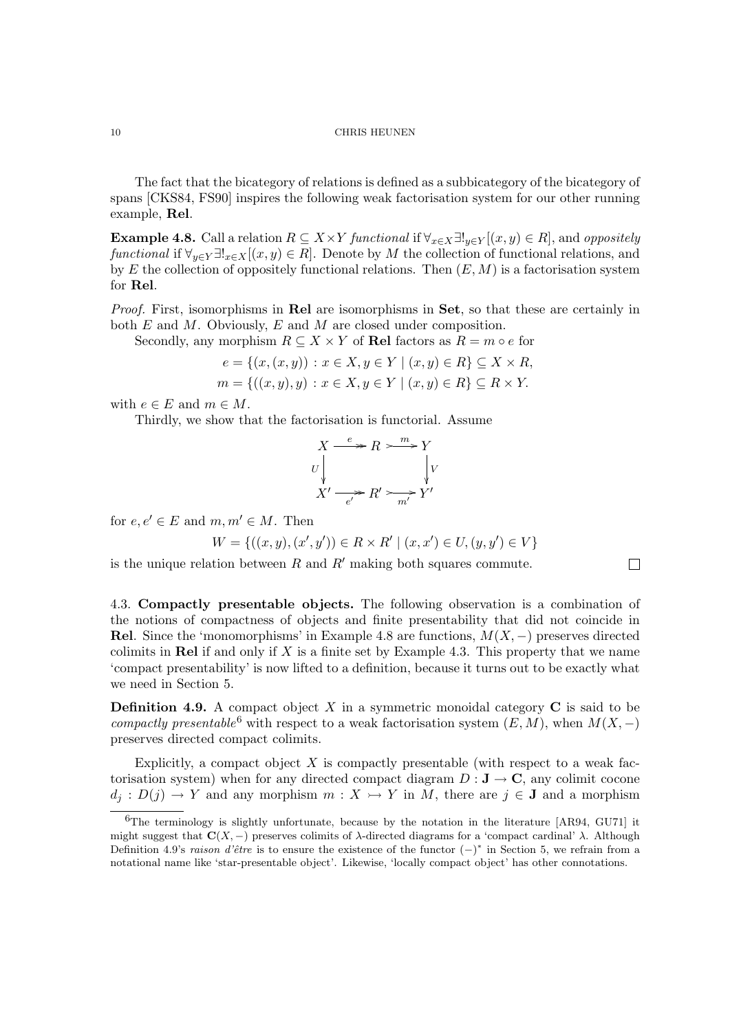The fact that the bicategory of relations is defined as a subbicategory of the bicategory of spans [CKS84, FS90] inspires the following weak factorisation system for our other running example, Rel.

**Example 4.8.** Call a relation  $R \subseteq X \times Y$  functional if  $\forall_{x \in X} \exists !_{y \in Y} [(x, y) \in R]$ , and oppositely functional if  $\forall_{y\in Y}\exists!_{x\in X}[(x,y)\in R]$ . Denote by M the collection of functional relations, and by E the collection of oppositely functional relations. Then  $(E, M)$  is a factorisation system for Rel.

Proof. First, isomorphisms in Rel are isomorphisms in Set, so that these are certainly in both E and M. Obviously, E and M are closed under composition.

Secondly, any morphism  $R \subseteq X \times Y$  of Rel factors as  $R = m \circ e$  for

$$
e = \{(x, (x, y)) : x \in X, y \in Y \mid (x, y) \in R\} \subseteq X \times R, m = \{((x, y), y) : x \in X, y \in Y \mid (x, y) \in R\} \subseteq R \times Y.
$$

with  $e \in E$  and  $m \in M$ .

Thirdly, we show that the factorisation is functorial. Assume

$$
X \xrightarrow{e} R \xrightarrow{m} Y
$$
  
\n
$$
U \downarrow \qquad \qquad V
$$
  
\n
$$
X' \xrightarrow{e'} R' \xrightarrow{m'} Y'
$$

for  $e, e' \in E$  and  $m, m' \in M$ . Then

$$
W = \{ ((x, y), (x', y')) \in R \times R' \mid (x, x') \in U, (y, y') \in V \}
$$

 $\Box$ 

is the unique relation between  $R$  and  $R'$  making both squares commute.

4.3. Compactly presentable objects. The following observation is a combination of the notions of compactness of objects and finite presentability that did not coincide in Rel. Since the 'monomorphisms' in Example 4.8 are functions,  $M(X, -)$  preserves directed colimits in Rel if and only if X is a finite set by Example 4.3. This property that we name 'compact presentability' is now lifted to a definition, because it turns out to be exactly what we need in Section 5.

**Definition 4.9.** A compact object X in a symmetric monoidal category  $C$  is said to be compactly presentable<sup>6</sup> with respect to a weak factorisation system  $(E, M)$ , when  $M(X, -)$ preserves directed compact colimits.

Explicitly, a compact object  $X$  is compactly presentable (with respect to a weak factorisation system) when for any directed compact diagram  $D: \mathbf{J} \to \mathbf{C}$ , any colimit cocone  $d_j : D(j) \to Y$  and any morphism  $m : X \to Y$  in M, there are  $j \in J$  and a morphism

 ${}^{6}$ The terminology is slightly unfortunate, because by the notation in the literature [AR94, GU71] it might suggest that  $\mathbf{C}(X, -)$  preserves colimits of  $\lambda$ -directed diagrams for a 'compact cardinal'  $\lambda$ . Although Definition 4.9's raison d'être is to ensure the existence of the functor  $(-)^*$  in Section 5, we refrain from a notational name like 'star-presentable object'. Likewise, 'locally compact object' has other connotations.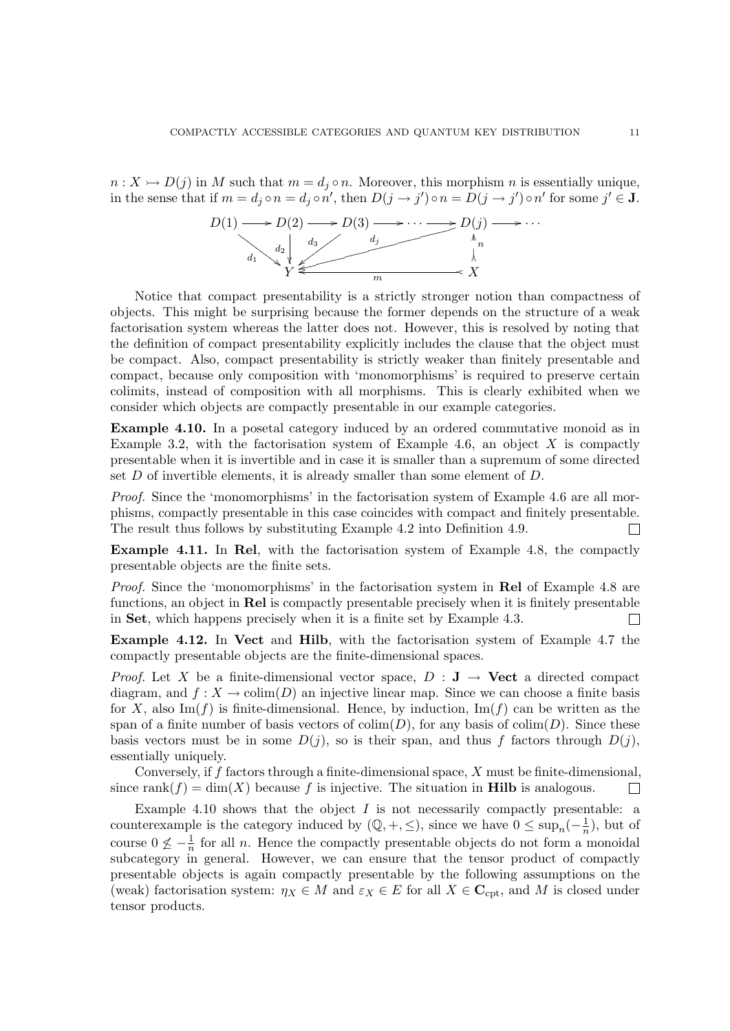$n: X \rightarrow D(j)$  in M such that  $m = d_j \circ n$ . Moreover, this morphism n is essentially unique, in the sense that if  $m = d_j \circ n'$ , then  $D(j \to j') \circ n = D(j \to j') \circ n'$  for some  $j' \in J$ .



Notice that compact presentability is a strictly stronger notion than compactness of objects. This might be surprising because the former depends on the structure of a weak factorisation system whereas the latter does not. However, this is resolved by noting that the definition of compact presentability explicitly includes the clause that the object must be compact. Also, compact presentability is strictly weaker than finitely presentable and compact, because only composition with 'monomorphisms' is required to preserve certain colimits, instead of composition with all morphisms. This is clearly exhibited when we consider which objects are compactly presentable in our example categories.

Example 4.10. In a posetal category induced by an ordered commutative monoid as in Example 3.2, with the factorisation system of Example 4.6, an object  $X$  is compactly presentable when it is invertible and in case it is smaller than a supremum of some directed set D of invertible elements, it is already smaller than some element of D.

Proof. Since the 'monomorphisms' in the factorisation system of Example 4.6 are all morphisms, compactly presentable in this case coincides with compact and finitely presentable. The result thus follows by substituting Example 4.2 into Definition 4.9.  $\Box$ 

Example 4.11. In Rel, with the factorisation system of Example 4.8, the compactly presentable objects are the finite sets.

Proof. Since the 'monomorphisms' in the factorisation system in Rel of Example 4.8 are functions, an object in Rel is compactly presentable precisely when it is finitely presentable in Set, which happens precisely when it is a finite set by Example 4.3.  $\Box$ 

Example 4.12. In Vect and Hilb, with the factorisation system of Example 4.7 the compactly presentable objects are the finite-dimensional spaces.

*Proof.* Let X be a finite-dimensional vector space,  $D : J \rightarrow$  Vect a directed compact diagram, and  $f: X \to \text{colim}(D)$  an injective linear map. Since we can choose a finite basis for X, also  $\text{Im}(f)$  is finite-dimensional. Hence, by induction,  $\text{Im}(f)$  can be written as the span of a finite number of basis vectors of  $\text{colim}(D)$ , for any basis of  $\text{colim}(D)$ . Since these basis vectors must be in some  $D(j)$ , so is their span, and thus f factors through  $D(j)$ , essentially uniquely.

Conversely, if f factors through a finite-dimensional space, X must be finite-dimensional, since rank $(f) = \dim(X)$  because f is injective. The situation in **Hilb** is analogous. П

Example 4.10 shows that the object  $I$  is not necessarily compactly presentable: a counterexample is the category induced by  $(\mathbb{Q}, +, \leq)$ , since we have  $0 \leq \sup_n(-\frac{1}{n})$  $\frac{1}{n}$ , but of course  $0 \nleq -\frac{1}{n}$  for all n. Hence the compactly presentable objects do not form a monoidal subcategory in general. However, we can ensure that the tensor product of compactly presentable objects is again compactly presentable by the following assumptions on the (weak) factorisation system:  $\eta_X \in M$  and  $\varepsilon_X \in E$  for all  $X \in \mathbf{C}_{\mathrm{cpt}}$ , and M is closed under tensor products.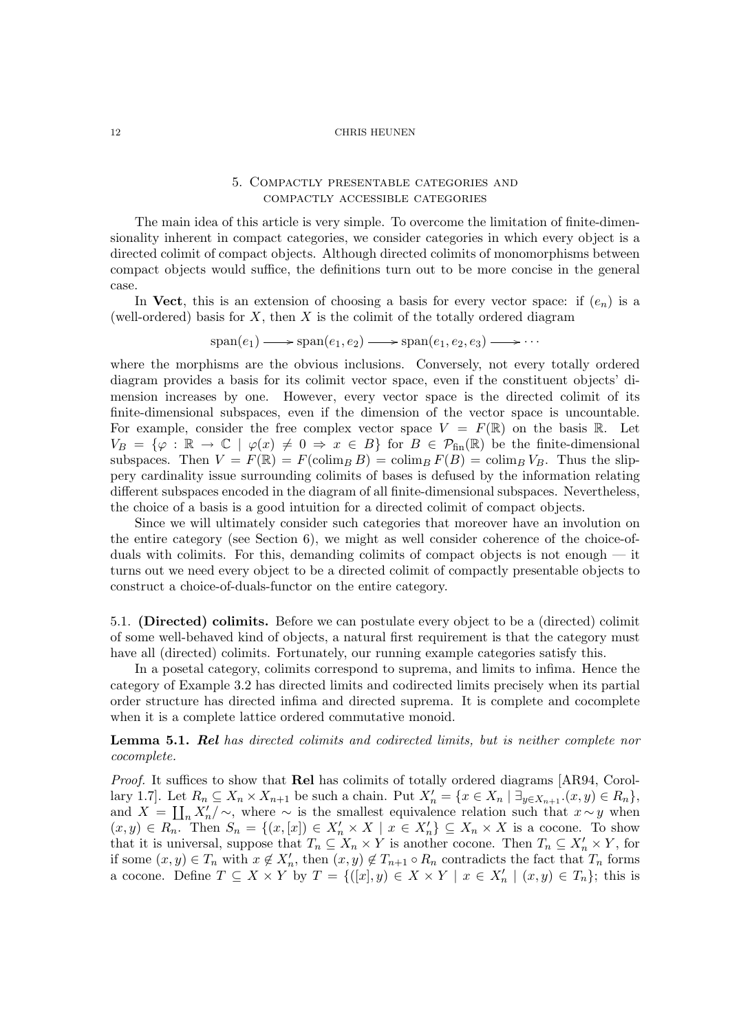# 5. Compactly presentable categories and compactly accessible categories

The main idea of this article is very simple. To overcome the limitation of finite-dimensionality inherent in compact categories, we consider categories in which every object is a directed colimit of compact objects. Although directed colimits of monomorphisms between compact objects would suffice, the definitions turn out to be more concise in the general case.

In Vect, this is an extension of choosing a basis for every vector space: if  $(e_n)$  is a (well-ordered) basis for  $X$ , then  $X$  is the colimit of the totally ordered diagram

 $\text{span}(e_1) \longrightarrow \text{span}(e_1, e_2) \longrightarrow \text{span}(e_1, e_2, e_3) \longrightarrow \cdots$ 

where the morphisms are the obvious inclusions. Conversely, not every totally ordered diagram provides a basis for its colimit vector space, even if the constituent objects' dimension increases by one. However, every vector space is the directed colimit of its finite-dimensional subspaces, even if the dimension of the vector space is uncountable. For example, consider the free complex vector space  $V = F(\mathbb{R})$  on the basis  $\mathbb{R}$ . Let  $V_B = \{\varphi : \mathbb{R} \to \mathbb{C} \mid \varphi(x) \neq 0 \Rightarrow x \in B\}$  for  $B \in \mathcal{P}_{fin}(\mathbb{R})$  be the finite-dimensional subspaces. Then  $V = F(\mathbb{R}) = F(\text{colim}_B B) = \text{colim}_B F(B) = \text{colim}_B V_B$ . Thus the slippery cardinality issue surrounding colimits of bases is defused by the information relating different subspaces encoded in the diagram of all finite-dimensional subspaces. Nevertheless, the choice of a basis is a good intuition for a directed colimit of compact objects.

Since we will ultimately consider such categories that moreover have an involution on the entire category (see Section 6), we might as well consider coherence of the choice-ofduals with colimits. For this, demanding colimits of compact objects is not enough — it turns out we need every object to be a directed colimit of compactly presentable objects to construct a choice-of-duals-functor on the entire category.

5.1. (Directed) colimits. Before we can postulate every object to be a (directed) colimit of some well-behaved kind of objects, a natural first requirement is that the category must have all (directed) colimits. Fortunately, our running example categories satisfy this.

In a posetal category, colimits correspond to suprema, and limits to infima. Hence the category of Example 3.2 has directed limits and codirected limits precisely when its partial order structure has directed infima and directed suprema. It is complete and cocomplete when it is a complete lattice ordered commutative monoid.

**Lemma 5.1. Rel** has directed colimits and codirected limits, but is neither complete nor cocomplete.

Proof. It suffices to show that Rel has colimits of totally ordered diagrams [AR94, Corollary 1.7]. Let  $R_n \subseteq X_n \times X_{n+1}$  be such a chain. Put  $X'_n = \{x \in X_n \mid \exists_{y \in X_{n+1}} (x, y) \in R_n\}$ , and  $X = \prod_n X'_n / \sim$ , where  $\sim$  is the smallest equivalence relation such that  $x \sim y$  when  $(x, y) \in R_n$ . Then  $S_n = \{(x, [x]) \in X'_n \times X \mid x \in X'_n\} \subseteq X_n \times X$  is a cocone. To show that it is universal, suppose that  $T_n \subseteq X_n \times Y$  is another cocone. Then  $T_n \subseteq X'_n \times Y$ , for if some  $(x, y) \in T_n$  with  $x \notin X'_n$ , then  $(x, y) \notin T_{n+1} \circ R_n$  contradicts the fact that  $T_n$  forms a cocone. Define  $T \subseteq X \times Y$  by  $T = \{([x], y) \in X \times Y \mid x \in X'_n \mid (x, y) \in T_n \};\$ this is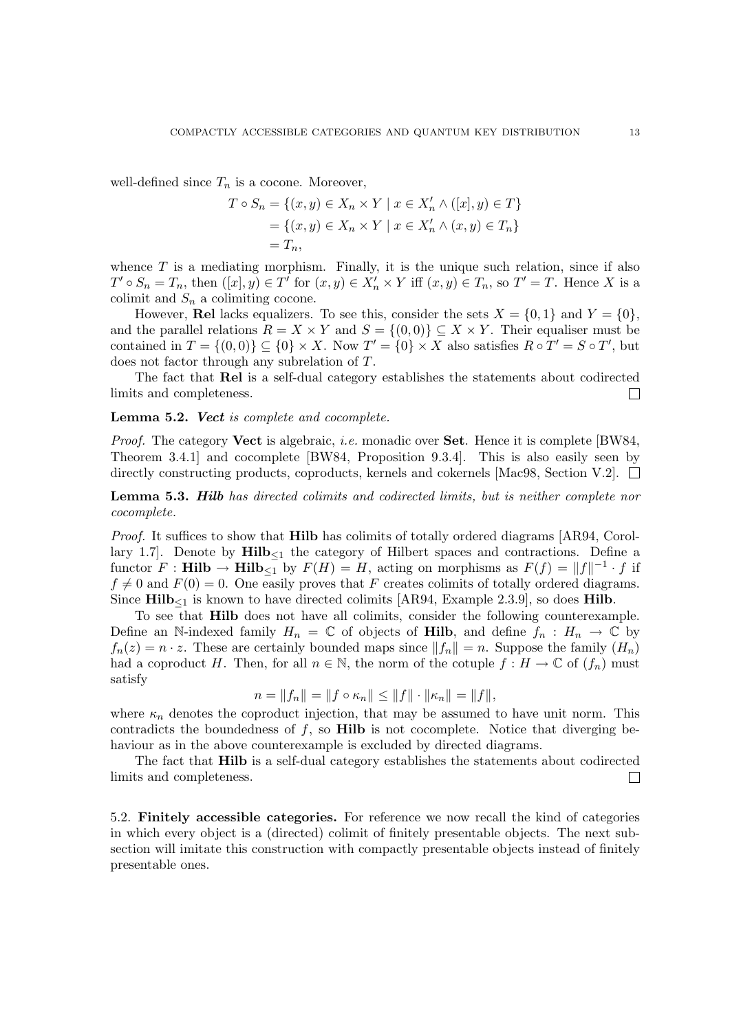well-defined since  $T_n$  is a cocone. Moreover,

$$
T \circ S_n = \{(x, y) \in X_n \times Y \mid x \in X'_n \land ([x], y) \in T\}
$$
  
= 
$$
\{(x, y) \in X_n \times Y \mid x \in X'_n \land (x, y) \in T_n\}
$$
  
= 
$$
T_n,
$$

whence  $T$  is a mediating morphism. Finally, it is the unique such relation, since if also  $T' \circ S_n = T_n$ , then  $([x], y) \in T'$  for  $(x, y) \in X'_n \times Y$  iff  $(x, y) \in T_n$ , so  $T' = T$ . Hence X is a colimit and  $S_n$  a colimiting cocone.

However, **Rel** lacks equalizers. To see this, consider the sets  $X = \{0, 1\}$  and  $Y = \{0\}$ , and the parallel relations  $R = X \times Y$  and  $S = \{(0,0)\}\subseteq X \times Y$ . Their equaliser must be contained in  $T = \{(0,0)\}\subseteq \{0\} \times X$ . Now  $T' = \{0\} \times X$  also satisfies  $R \circ T' = S \circ T'$ , but does not factor through any subrelation of T.

The fact that Rel is a self-dual category establishes the statements about codirected limits and completeness.  $\Box$ 

Lemma 5.2. Vect is complete and cocomplete.

*Proof.* The category **Vect** is algebraic, *i.e.* monadic over **Set**. Hence it is complete [BW84, Theorem 3.4.1] and cocomplete [BW84, Proposition 9.3.4]. This is also easily seen by directly constructing products, coproducts, kernels and cokernels [Mac98, Section V.2].  $\Box$ 

Lemma 5.3. Hilb has directed colimits and codirected limits, but is neither complete nor cocomplete.

Proof. It suffices to show that **Hilb** has colimits of totally ordered diagrams [AR94, Corollary 1.7]. Denote by  $\text{Hilb}_{\leq 1}$  the category of Hilbert spaces and contractions. Define a functor  $F : \textbf{Hilb} \to \textbf{Hilb}_{\leq 1}$  by  $F(H) = H$ , acting on morphisms as  $F(f) = ||f||^{-1} \cdot f$  if  $f \neq 0$  and  $F(0) = 0$ . One easily proves that F creates colimits of totally ordered diagrams. Since  $\textbf{Hilb}_{\leq 1}$  is known to have directed colimits [AR94, Example 2.3.9], so does **Hilb**.

To see that Hilb does not have all colimits, consider the following counterexample. Define an N-indexed family  $H_n = \mathbb{C}$  of objects of **Hilb**, and define  $f_n : H_n \to \mathbb{C}$  by  $f_n(z) = n \cdot z$ . These are certainly bounded maps since  $||f_n|| = n$ . Suppose the family  $(H_n)$ had a coproduct H. Then, for all  $n \in \mathbb{N}$ , the norm of the cotuple  $f : H \to \mathbb{C}$  of  $(f_n)$  must satisfy

$$
n = \|f_n\| = \|f \circ \kappa_n\| \le \|f\| \cdot \|\kappa_n\| = \|f\|,
$$

where  $\kappa_n$  denotes the coproduct injection, that may be assumed to have unit norm. This contradicts the boundedness of  $f$ , so **Hilb** is not cocomplete. Notice that diverging behaviour as in the above counterexample is excluded by directed diagrams.

The fact that Hilb is a self-dual category establishes the statements about codirected limits and completeness.  $\Box$ 

5.2. Finitely accessible categories. For reference we now recall the kind of categories in which every object is a (directed) colimit of finitely presentable objects. The next subsection will imitate this construction with compactly presentable objects instead of finitely presentable ones.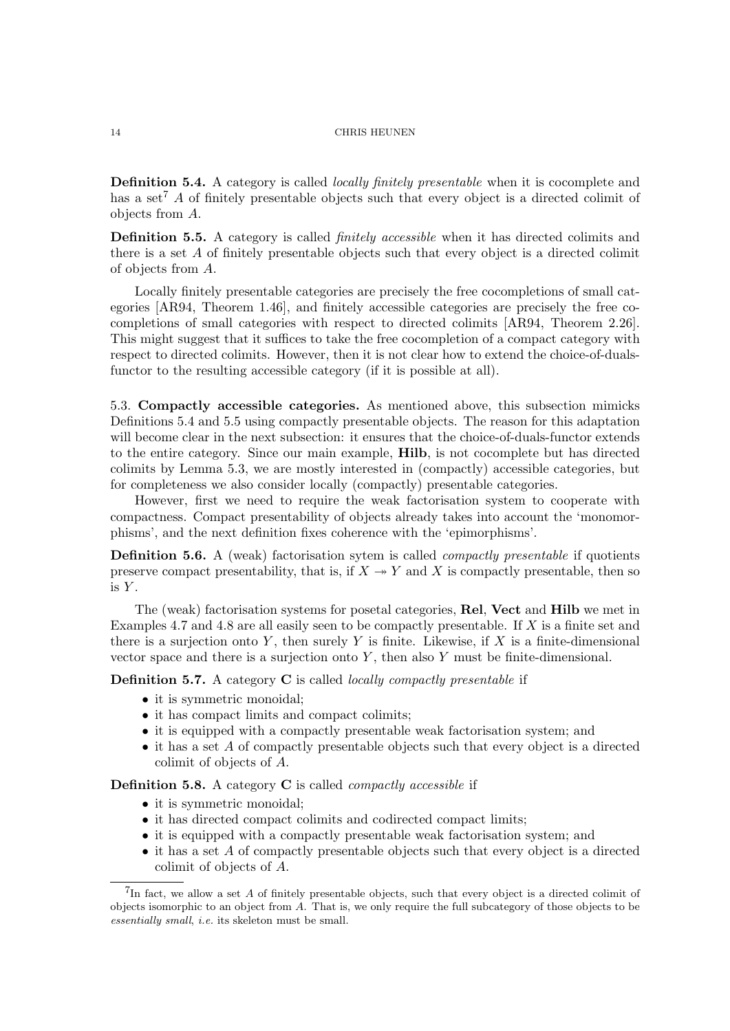Definition 5.4. A category is called *locally finitely presentable* when it is cocomplete and has a set<sup>7</sup> A of finitely presentable objects such that every object is a directed colimit of objects from A.

Definition 5.5. A category is called *finitely accessible* when it has directed colimits and there is a set  $A$  of finitely presentable objects such that every object is a directed colimit of objects from A.

Locally finitely presentable categories are precisely the free cocompletions of small categories [AR94, Theorem 1.46], and finitely accessible categories are precisely the free cocompletions of small categories with respect to directed colimits [AR94, Theorem 2.26]. This might suggest that it suffices to take the free cocompletion of a compact category with respect to directed colimits. However, then it is not clear how to extend the choice-of-dualsfunctor to the resulting accessible category (if it is possible at all).

5.3. Compactly accessible categories. As mentioned above, this subsection mimicks Definitions 5.4 and 5.5 using compactly presentable objects. The reason for this adaptation will become clear in the next subsection: it ensures that the choice-of-duals-functor extends to the entire category. Since our main example, Hilb, is not cocomplete but has directed colimits by Lemma 5.3, we are mostly interested in (compactly) accessible categories, but for completeness we also consider locally (compactly) presentable categories.

However, first we need to require the weak factorisation system to cooperate with compactness. Compact presentability of objects already takes into account the 'monomorphisms', and the next definition fixes coherence with the 'epimorphisms'.

Definition 5.6. A (weak) factorisation sytem is called *compactly presentable* if quotients preserve compact presentability, that is, if  $X \rightarrow Y$  and X is compactly presentable, then so is  $Y$ .

The (weak) factorisation systems for posetal categories, Rel, Vect and Hilb we met in Examples 4.7 and 4.8 are all easily seen to be compactly presentable. If X is a finite set and there is a surjection onto Y, then surely Y is finite. Likewise, if X is a finite-dimensional vector space and there is a surjection onto  $Y$ , then also  $Y$  must be finite-dimensional.

**Definition 5.7.** A category  $C$  is called *locally compactly presentable* if

- it is symmetric monoidal;
- it has compact limits and compact colimits;
- it is equipped with a compactly presentable weak factorisation system; and
- it has a set A of compactly presentable objects such that every object is a directed colimit of objects of A.

**Definition 5.8.** A category  $C$  is called *compactly accessible* if

- it is symmetric monoidal;
- it has directed compact colimits and codirected compact limits;
- it is equipped with a compactly presentable weak factorisation system; and
- it has a set A of compactly presentable objects such that every object is a directed colimit of objects of A.

 ${}^{7}$ In fact, we allow a set A of finitely presentable objects, such that every object is a directed colimit of objects isomorphic to an object from A. That is, we only require the full subcategory of those objects to be essentially small, i.e. its skeleton must be small.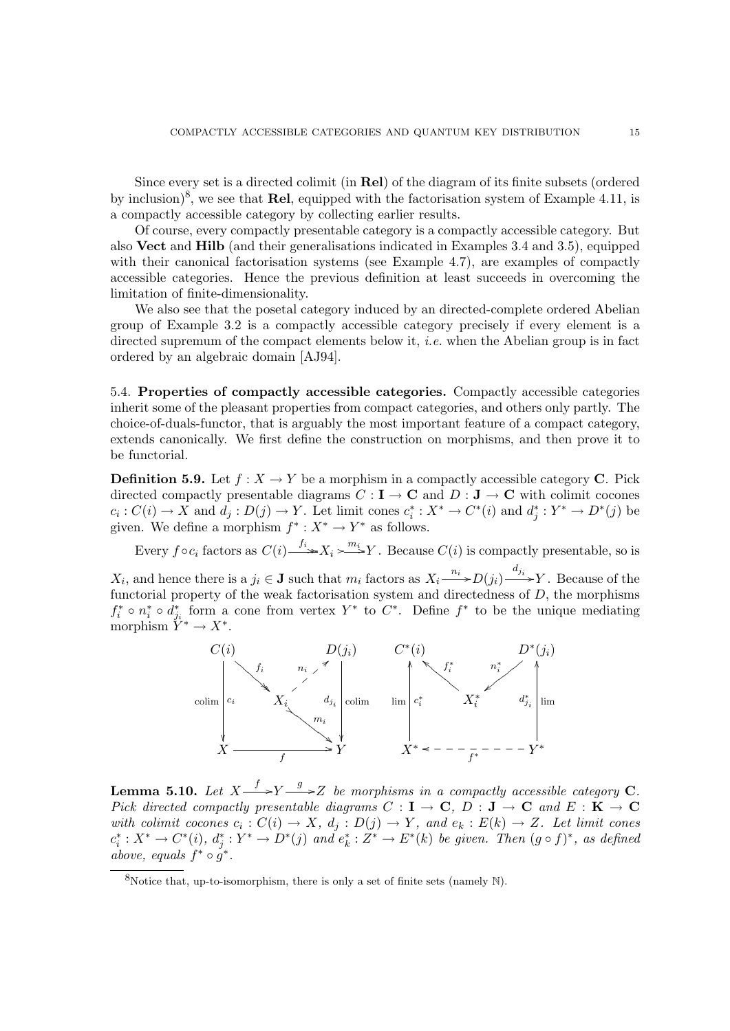Since every set is a directed colimit (in Rel) of the diagram of its finite subsets (ordered by inclusion)<sup>8</sup>, we see that **Rel**, equipped with the factorisation system of Example 4.11, is a compactly accessible category by collecting earlier results.

Of course, every compactly presentable category is a compactly accessible category. But also Vect and Hilb (and their generalisations indicated in Examples 3.4 and 3.5), equipped with their canonical factorisation systems (see Example 4.7), are examples of compactly accessible categories. Hence the previous definition at least succeeds in overcoming the limitation of finite-dimensionality.

We also see that the posetal category induced by an directed-complete ordered Abelian group of Example 3.2 is a compactly accessible category precisely if every element is a directed supremum of the compact elements below it, *i.e.* when the Abelian group is in fact ordered by an algebraic domain [AJ94].

5.4. Properties of compactly accessible categories. Compactly accessible categories inherit some of the pleasant properties from compact categories, and others only partly. The choice-of-duals-functor, that is arguably the most important feature of a compact category, extends canonically. We first define the construction on morphisms, and then prove it to be functorial.

**Definition 5.9.** Let  $f : X \to Y$  be a morphism in a compactly accessible category **C**. Pick directed compactly presentable diagrams  $C: I \to \mathbf{C}$  and  $D: J \to \mathbf{C}$  with colimit cocones  $c_i: C(i) \to X$  and  $d_j: D(j) \to Y$ . Let limit cones  $c_i^*: X^* \to C^*(i)$  and  $d_j^*: Y^* \to D^*(j)$  be given. We define a morphism  $f^*: X^* \to Y^*$  as follows.

Every  $f \circ c_i$  factors as  $C(i) \longrightarrow X_i \longrightarrow Y$ . Because  $C(i)$  is compactly presentable, so is

 $X_i$ , and hence there is a  $j_i \in \mathbf{J}$  such that  $m_i$  factors as  $X_i \xrightarrow{n_i} D(j_i) \xrightarrow{d_{j_i}} Y$ . Because of the functorial property of the weak factorisation system and directedness of  $D$ , the morphisms  $f_i^* \circ n_i^* \circ d_{j_i}^*$  form a cone from vertex  $Y^*$  to  $C^*$ . Define  $f^*$  to be the unique mediating morphism  $\tilde{Y}^* \to X^*$ .



**Lemma 5.10.** Let  $X \xrightarrow{f} Y \xrightarrow{g} Z$  be morphisms in a compactly accessible category C. Pick directed compactly presentable diagrams  $C : I \to \mathbb{C}$ ,  $D : J \to \mathbb{C}$  and  $E : K \to \mathbb{C}$ with colimit cocones  $c_i : C(i) \to X$ ,  $d_j : D(j) \to Y$ , and  $e_k : E(k) \to Z$ . Let limit cones  $c_i^*: X^* \to C^*(i)$ ,  $d_j^*: Y^* \to D^*(j)$  and  $e_k^*: Z^* \to E^*(k)$  be given. Then  $(g \circ f)^*$ , as defined above, equals  $f^* \circ g^*$ .

<sup>&</sup>lt;sup>8</sup>Notice that, up-to-isomorphism, there is only a set of finite sets (namely  $\mathbb{N}$ ).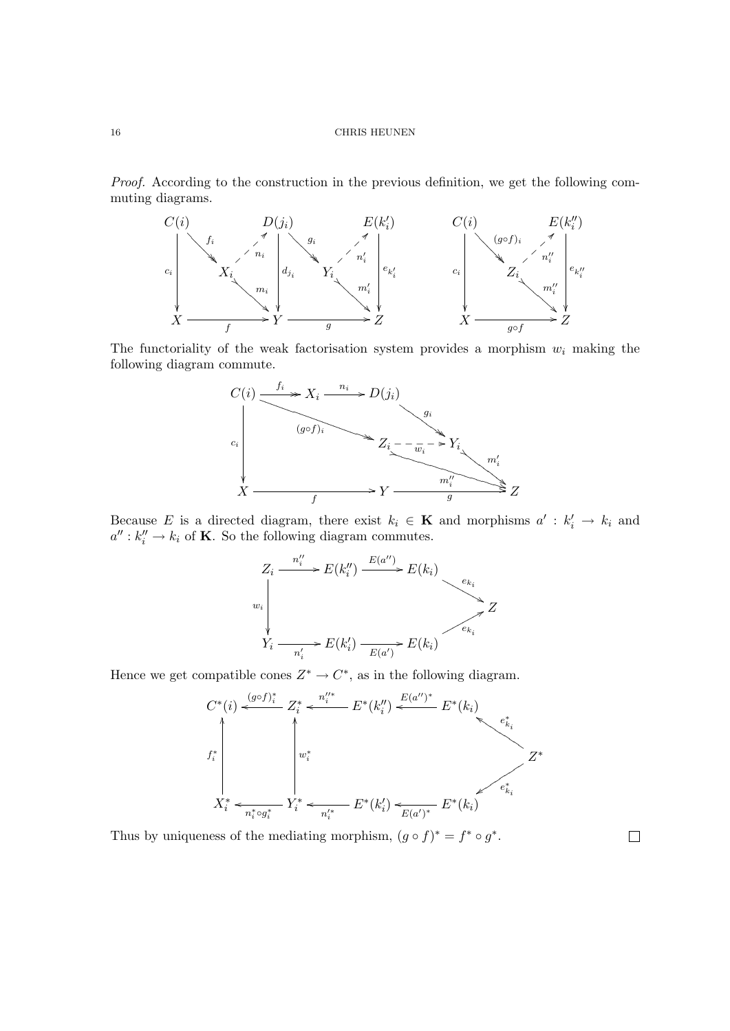Proof. According to the construction in the previous definition, we get the following commuting diagrams.



The functoriality of the weak factorisation system provides a morphism  $w_i$  making the following diagram commute.



Because E is a directed diagram, there exist  $k_i \in \mathbf{K}$  and morphisms  $a' : k'_i \to k_i$  and  $a'': k''_i \to k_i$  of **K**. So the following diagram commutes.



Hence we get compatible cones  $Z^* \to C^*$ , as in the following diagram.



Thus by uniqueness of the mediating morphism,  $(g \circ f)^* = f^* \circ g^*$ .

 $\Box$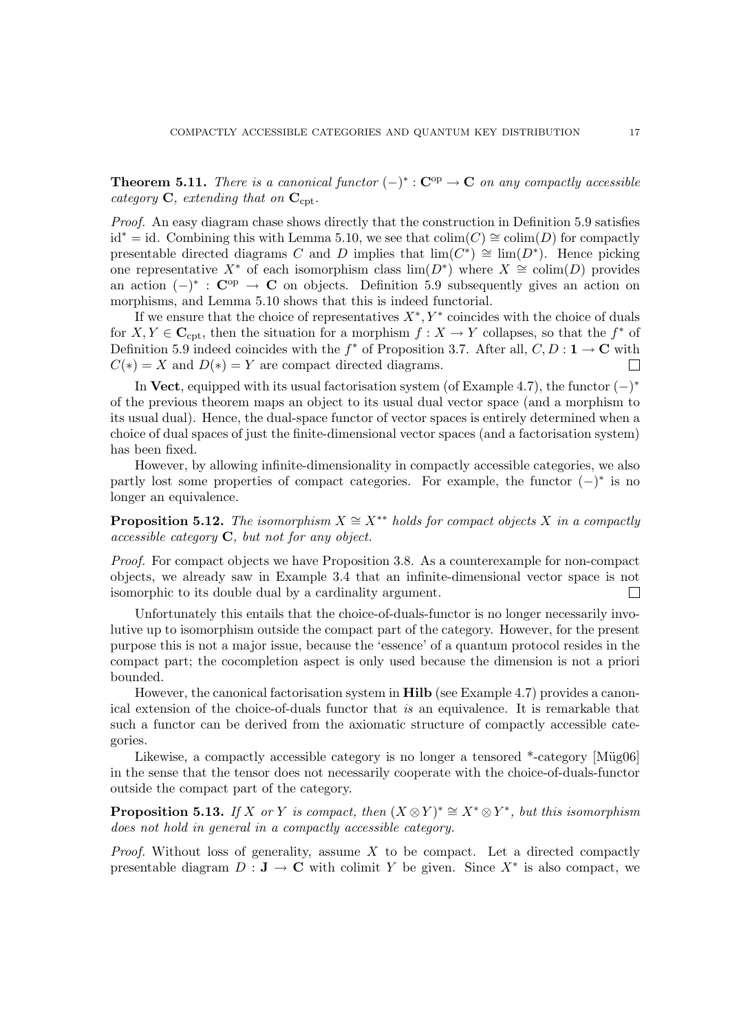**Theorem 5.11.** There is a canonical functor  $(-)^* : \mathbb{C}^{op} \to \mathbb{C}$  on any compactly accessible category  $C$ , extending that on  $C_{\text{cnt}}$ .

Proof. An easy diagram chase shows directly that the construction in Definition 5.9 satisfies id<sup>∗</sup> = id. Combining this with Lemma 5.10, we see that  $\text{colim}(C) \cong \text{colim}(D)$  for compactly presentable directed diagrams C and D implies that  $\lim_{(C^*)}$   $\cong$   $\lim_{(D^*)}$ . Hence picking one representative  $X^*$  of each isomorphism class  $\lim(D^*)$  where  $X \cong \text{colim}(D)$  provides an action  $(-)^*$ :  $\mathbb{C}^{op} \to \mathbb{C}$  on objects. Definition 5.9 subsequently gives an action on morphisms, and Lemma 5.10 shows that this is indeed functorial.

If we ensure that the choice of representatives  $X^*, Y^*$  coincides with the choice of duals for  $X, Y \in \mathbb{C}_{\text{cpt}}$ , then the situation for a morphism  $f : X \to Y$  collapses, so that the  $f^*$  of Definition 5.9 indeed coincides with the  $f^*$  of Proposition 3.7. After all,  $C, D: \mathbf{1} \to \mathbf{C}$  with  $C(*) = X$  and  $D(*) = Y$  are compact directed diagrams. П

In Vect, equipped with its usual factorisation system (of Example 4.7), the functor  $(-)^*$ of the previous theorem maps an object to its usual dual vector space (and a morphism to its usual dual). Hence, the dual-space functor of vector spaces is entirely determined when a choice of dual spaces of just the finite-dimensional vector spaces (and a factorisation system) has been fixed.

However, by allowing infinite-dimensionality in compactly accessible categories, we also partly lost some properties of compact categories. For example, the functor  $(-)^*$  is no longer an equivalence.

**Proposition 5.12.** The isomorphism  $X \cong X^{**}$  holds for compact objects X in a compactly  $accessible$  category  $C$ , but not for any object.

Proof. For compact objects we have Proposition 3.8. As a counterexample for non-compact objects, we already saw in Example 3.4 that an infinite-dimensional vector space is not isomorphic to its double dual by a cardinality argument. П

Unfortunately this entails that the choice-of-duals-functor is no longer necessarily involutive up to isomorphism outside the compact part of the category. However, for the present purpose this is not a major issue, because the 'essence' of a quantum protocol resides in the compact part; the cocompletion aspect is only used because the dimension is not a priori bounded.

However, the canonical factorisation system in **Hilb** (see Example 4.7) provides a canonical extension of the choice-of-duals functor that is an equivalence. It is remarkable that such a functor can be derived from the axiomatic structure of compactly accessible categories.

Likewise, a compactly accessible category is no longer a tensored  $*$ -category [Müg06] in the sense that the tensor does not necessarily cooperate with the choice-of-duals-functor outside the compact part of the category.

**Proposition 5.13.** If X or Y is compact, then  $(X \otimes Y)^* \cong X^* \otimes Y^*$ , but this isomorphism does not hold in general in a compactly accessible category.

*Proof.* Without loss of generality, assume  $X$  to be compact. Let a directed compactly presentable diagram  $D: J \to \mathbb{C}$  with colimit Y be given. Since  $X^*$  is also compact, we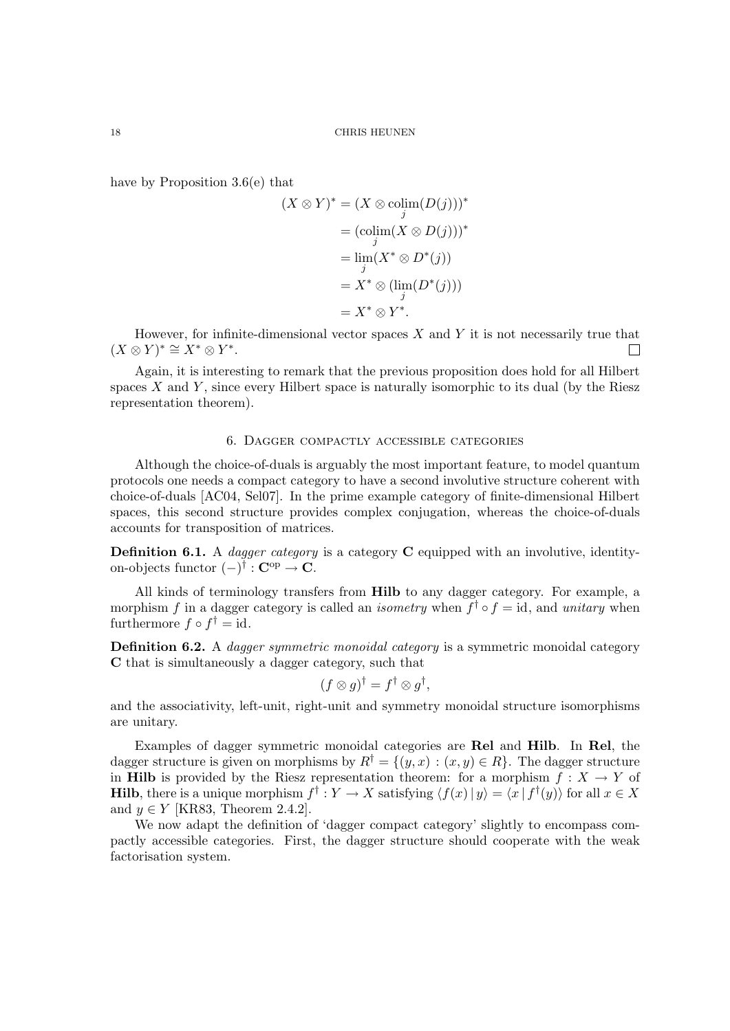have by Proposition 3.6(e) that

$$
(X \otimes Y)^* = (X \otimes \operatorname{colim}_{j}(D(j)))^*
$$
  
= 
$$
(\operatorname{colim}_{j}(X \otimes D(j)))^*
$$
  
= 
$$
\lim_{j}(X^* \otimes D^*(j))
$$
  
= 
$$
X^* \otimes (\lim_{j} (D^*(j)))
$$
  
= 
$$
X^* \otimes Y^*.
$$

However, for infinite-dimensional vector spaces  $X$  and  $Y$  it is not necessarily true that  $(X \otimes Y)^* \cong X^* \otimes Y^*$ .

Again, it is interesting to remark that the previous proposition does hold for all Hilbert spaces  $X$  and  $Y$ , since every Hilbert space is naturally isomorphic to its dual (by the Riesz representation theorem).

# 6. Dagger compactly accessible categories

Although the choice-of-duals is arguably the most important feature, to model quantum protocols one needs a compact category to have a second involutive structure coherent with choice-of-duals [AC04, Sel07]. In the prime example category of finite-dimensional Hilbert spaces, this second structure provides complex conjugation, whereas the choice-of-duals accounts for transposition of matrices.

**Definition 6.1.** A *dagger category* is a category **C** equipped with an involutive, identityon-objects functor  $(-)^{\dagger} : \mathbf{C}^{\mathrm{op}} \to \mathbf{C}$ .

All kinds of terminology transfers from Hilb to any dagger category. For example, a morphism f in a dagger category is called an *isometry* when  $f^{\dagger} \circ f = id$ , and *unitary* when furthermore  $f \circ f^{\dagger} = id$ .

Definition 6.2. A dagger symmetric monoidal category is a symmetric monoidal category C that is simultaneously a dagger category, such that

$$
(f \otimes g)^{\dagger} = f^{\dagger} \otimes g^{\dagger},
$$

and the associativity, left-unit, right-unit and symmetry monoidal structure isomorphisms are unitary.

Examples of dagger symmetric monoidal categories are Rel and Hilb. In Rel, the dagger structure is given on morphisms by  $R^{\dagger} = \{(y, x) : (x, y) \in R\}$ . The dagger structure in **Hilb** is provided by the Riesz representation theorem: for a morphism  $f : X \to Y$  of **Hilb**, there is a unique morphism  $f^{\dagger}: Y \to X$  satisfying  $\langle f(x) | y \rangle = \langle x | f^{\dagger}(y) \rangle$  for all  $x \in X$ and  $y \in Y$  [KR83, Theorem 2.4.2].

We now adapt the definition of 'dagger compact category' slightly to encompass compactly accessible categories. First, the dagger structure should cooperate with the weak factorisation system.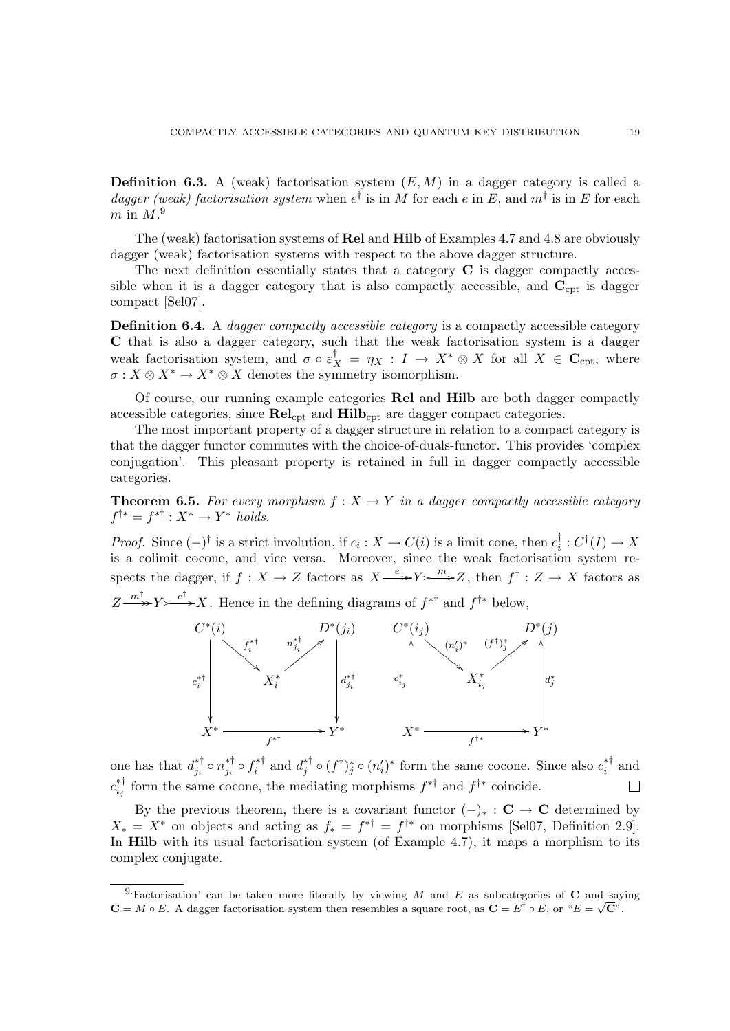**Definition 6.3.** A (weak) factorisation system  $(E, M)$  in a dagger category is called a dagger (weak) factorisation system when  $e^{\dagger}$  is in M for each e in E, and  $m^{\dagger}$  is in E for each  $m$  in  $M$ .<sup>9</sup>

The (weak) factorisation systems of Rel and Hilb of Examples 4.7 and 4.8 are obviously dagger (weak) factorisation systems with respect to the above dagger structure.

The next definition essentially states that a category  $C$  is dagger compactly accessible when it is a dagger category that is also compactly accessible, and  $C_{\rm cpt}$  is dagger compact [Sel07].

Definition 6.4. A *dagger compactly accessible category* is a compactly accessible category C that is also a dagger category, such that the weak factorisation system is a dagger weak factorisation system, and  $\sigma \circ \varepsilon_X^{\dagger} = \eta_X : I \to X^* \otimes X$  for all  $X \in \mathbb{C}_{\text{cpt}}$ , where  $\sigma: X \otimes X^* \to X^* \otimes X$  denotes the symmetry isomorphism.

Of course, our running example categories Rel and Hilb are both dagger compactly accessible categories, since  $\text{Rel}_{\text{cpt}}$  and  $\text{Hilb}_{\text{cpt}}$  are dagger compact categories.

The most important property of a dagger structure in relation to a compact category is that the dagger functor commutes with the choice-of-duals-functor. This provides 'complex conjugation'. This pleasant property is retained in full in dagger compactly accessible categories.

**Theorem 6.5.** For every morphism  $f: X \to Y$  in a dagger compactly accessible category  $f^{\dagger *} = f^{*\dagger} : X^* \to Y^*$  holds.

*Proof.* Since  $(-)^{\dagger}$  is a strict involution, if  $c_i : X \to C(i)$  is a limit cone, then  $c_i^{\dagger}$  $c_i^{\dagger}: C^{\dagger}(I) \to X$ is a colimit cocone, and vice versa. Moreover, since the weak factorisation system respects the dagger, if  $f: X \to Z$  factors as  $X \xrightarrow{e} Y \longrightarrow Z$ , then  $f^{\dagger}: Z \to X$  factors as  $Z \longrightarrow^{m^{\dagger}} Y \longrightarrow^{e^{\dagger}} X$ . Hence in the defining diagrams of  $f^{*^{\dagger}}$  and  $f^{*^*}$  below,



one has that  $d_{i}^{* \dagger}$  $_{j_i}^{* \dagger} \circ n_{j_i}^{* \dagger}$  $j_i^{\ast \dagger} \circ f_i^{\ast \dagger}$  $i^*$  and  $d_j^*$ <sup>∗†</sup> ∘ ( $f^{\dagger})_j^*$  ∘ ( $n'_i$ )<sup>∗</sup> form the same cocone. Since also  $c_i^{* \dagger}$  $i^*$  and  $c_i^{*\dagger}$ <sup>\*†</sup> form the same cocone, the mediating morphisms  $f^{* \dagger}$  and  $f^{\dagger*}$  coincide.

By the previous theorem, there is a covariant functor  $(-)_* : \mathbf{C} \to \mathbf{C}$  determined by  $X_* = X^*$  on objects and acting as  $f_* = f^{*\dagger} = f^{\dagger*}$  on morphisms [Sel07, Definition 2.9]. In Hilb with its usual factorisation system (of Example 4.7), it maps a morphism to its complex conjugate.

<sup>&</sup>lt;sup>9.</sup> Factorisation' can be taken more literally by viewing M and E as subcategories of C and saying  $\mathbf{C} = M \circ E$ . A dagger factorisation system then resembles a square root, as  $\mathbf{C} = E^{\dagger} \circ E$ , or " $E = \sqrt{\mathbf{C}}$ ".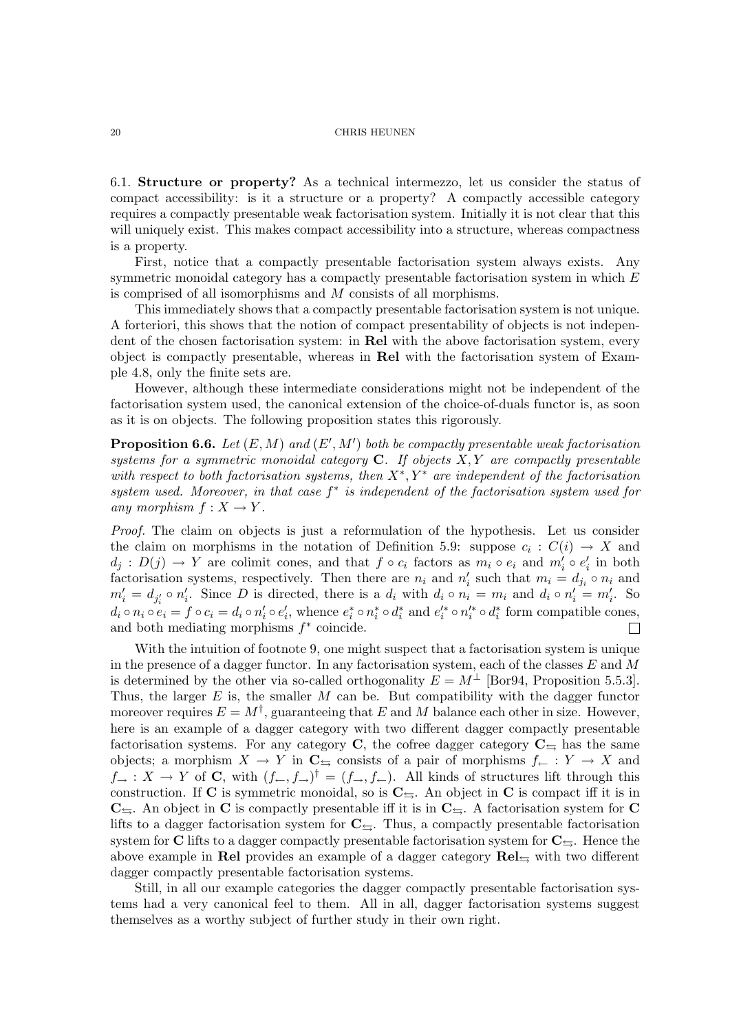6.1. Structure or property? As a technical intermezzo, let us consider the status of compact accessibility: is it a structure or a property? A compactly accessible category requires a compactly presentable weak factorisation system. Initially it is not clear that this will uniquely exist. This makes compact accessibility into a structure, whereas compactness is a property.

First, notice that a compactly presentable factorisation system always exists. Any symmetric monoidal category has a compactly presentable factorisation system in which E is comprised of all isomorphisms and M consists of all morphisms.

This immediately shows that a compactly presentable factorisation system is not unique. A forteriori, this shows that the notion of compact presentability of objects is not independent of the chosen factorisation system: in Rel with the above factorisation system, every object is compactly presentable, whereas in Rel with the factorisation system of Example 4.8, only the finite sets are.

However, although these intermediate considerations might not be independent of the factorisation system used, the canonical extension of the choice-of-duals functor is, as soon as it is on objects. The following proposition states this rigorously.

**Proposition 6.6.** Let  $(E, M)$  and  $(E', M')$  both be compactly presentable weak factorisation systems for a symmetric monoidal category  $C$ . If objects  $X, Y$  are compactly presentable with respect to both factorisation systems, then  $X^*, Y^*$  are independent of the factorisation system used. Moreover, in that case  $f^*$  is independent of the factorisation system used for any morphism  $f: X \to Y$ .

Proof. The claim on objects is just a reformulation of the hypothesis. Let us consider the claim on morphisms in the notation of Definition 5.9: suppose  $c_i : C(i) \to X$  and  $d_j : D(j) \to Y$  are colimit cones, and that  $f \circ c_i$  factors as  $m_i \circ e_i$  and  $m'_i \circ e'_i$  in both factorisation systems, respectively. Then there are  $n_i$  and  $n'_i$  such that  $m_i = d_{j_i} \circ n_i$  and  $m'_i = d_{j'_i} \circ n'_i$ . Since D is directed, there is a  $d_i$  with  $d_i \circ n'_i = m_i$  and  $d_i \circ n'_i = m'_i$ . So  $d_i \circ n_i \circ e_i = f \circ c_i = d_i \circ n'_i \circ e'_i$ , whence  $e_i^* \circ n_i^* \circ d_i^*$  and  $e_i'^* \circ n_i'^* \circ d_i^*$  form compatible cones, and both mediating morphisms  $f^*$  coincide.  $\Box$ 

With the intuition of footnote 9, one might suspect that a factorisation system is unique in the presence of a dagger functor. In any factorisation system, each of the classes  $E$  and  $M$ is determined by the other via so-called orthogonality  $E = M^{\perp}$  [Bor94, Proposition 5.5.3]. Thus, the larger  $E$  is, the smaller  $M$  can be. But compatibility with the dagger functor moreover requires  $E = M^{\dagger}$ , guaranteeing that E and M balance each other in size. However, here is an example of a dagger category with two different dagger compactly presentable factorisation systems. For any category C, the cofree dagger category  $C_{\pm}$  has the same objects; a morphism  $X \to Y$  in  $\mathbb{C}_{\rightrightarrows}$  consists of a pair of morphisms  $f_{\leftarrow} : Y \to X$  and  $f_{\rightarrow}: X \rightarrow Y$  of C, with  $(f_{\leftarrow}, f_{\rightarrow})^{\dagger} = (f_{\rightarrow}, f_{\leftarrow})$ . All kinds of structures lift through this construction. If C is symmetric monoidal, so is  $C_{\pm}$ . An object in C is compact iff it is in  $C_{\leftrightarrows}$ . An object in C is compactly presentable iff it is in  $C_{\leftrightarrows}$ . A factorisation system for C lifts to a dagger factorisation system for  $C_{\leq}$ . Thus, a compactly presentable factorisation system for C lifts to a dagger compactly presentable factorisation system for  $C_{\leq}$ . Hence the above example in Rel provides an example of a dagger category  $\text{Rel}_{\leftrightarrows}$  with two different dagger compactly presentable factorisation systems.

Still, in all our example categories the dagger compactly presentable factorisation systems had a very canonical feel to them. All in all, dagger factorisation systems suggest themselves as a worthy subject of further study in their own right.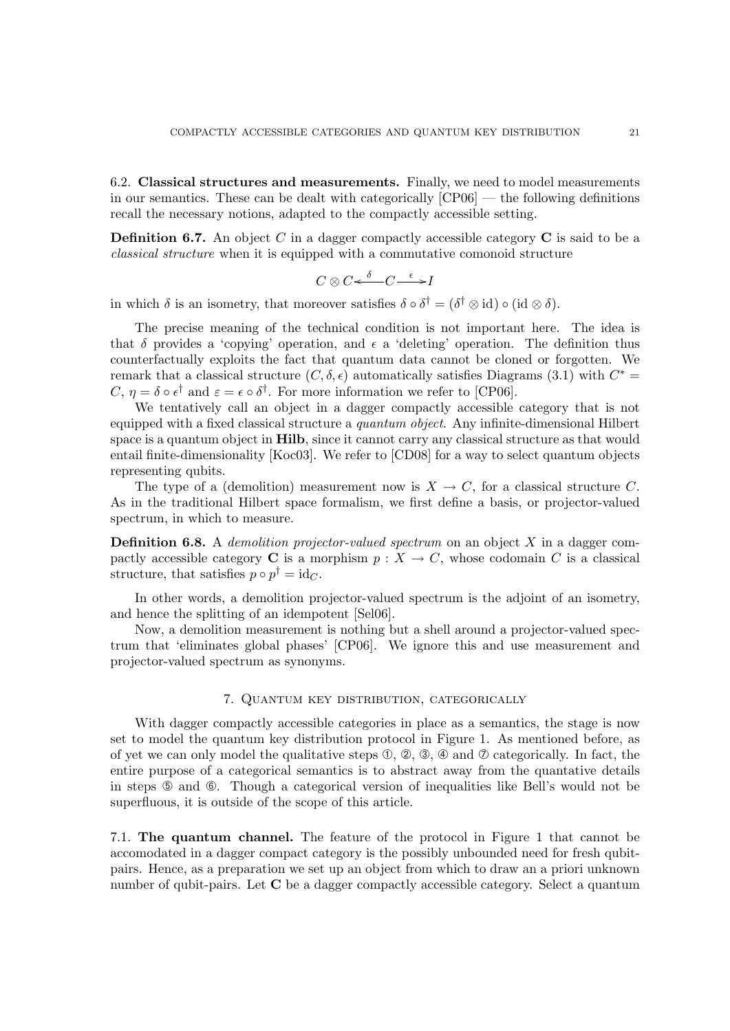6.2. Classical structures and measurements. Finally, we need to model measurements in our semantics. These can be dealt with categorically [CP06] — the following definitions recall the necessary notions, adapted to the compactly accessible setting.

**Definition 6.7.** An object C in a dagger compactly accessible category  $C$  is said to be a classical structure when it is equipped with a commutative comonoid structure

$$
C \otimes C \xleftarrow{\delta} C \xrightarrow{\epsilon} I
$$

in which  $\delta$  is an isometry, that moreover satisfies  $\delta \circ \delta^{\dagger} = (\delta^{\dagger} \otimes id) \circ (id \otimes \delta)$ .

The precise meaning of the technical condition is not important here. The idea is that  $\delta$  provides a 'copying' operation, and  $\epsilon$  a 'deleting' operation. The definition thus counterfactually exploits the fact that quantum data cannot be cloned or forgotten. We remark that a classical structure  $(C, \delta, \epsilon)$  automatically satisfies Diagrams (3.1) with  $C^*$  $C, \eta = \delta \circ \epsilon^{\dagger}$  and  $\varepsilon = \epsilon \circ \delta^{\dagger}$ . For more information we refer to [CP06].

We tentatively call an object in a dagger compactly accessible category that is not equipped with a fixed classical structure a quantum object. Any infinite-dimensional Hilbert space is a quantum object in **Hilb**, since it cannot carry any classical structure as that would entail finite-dimensionality [Koc03]. We refer to [CD08] for a way to select quantum objects representing qubits.

The type of a (demolition) measurement now is  $X \to C$ , for a classical structure C. As in the traditional Hilbert space formalism, we first define a basis, or projector-valued spectrum, in which to measure.

**Definition 6.8.** A *demolition projector-valued spectrum* on an object  $X$  in a dagger compactly accessible category **C** is a morphism  $p : X \to C$ , whose codomain C is a classical structure, that satisfies  $p \circ p^{\dagger} = id_C$ .

In other words, a demolition projector-valued spectrum is the adjoint of an isometry, and hence the splitting of an idempotent [Sel06].

Now, a demolition measurement is nothing but a shell around a projector-valued spectrum that 'eliminates global phases' [CP06]. We ignore this and use measurement and projector-valued spectrum as synonyms.

## 7. Quantum key distribution, categorically

With dagger compactly accessible categories in place as a semantics, the stage is now set to model the quantum key distribution protocol in Figure 1. As mentioned before, as of yet we can only model the qualitative steps  $\mathbb{O}, \mathbb{Q}, \mathbb{Q}, \mathbb{Q}$  and  $\mathbb{O}$  categorically. In fact, the entire purpose of a categorical semantics is to abstract away from the quantative details in steps ➄ and ➅. Though a categorical version of inequalities like Bell's would not be superfluous, it is outside of the scope of this article.

7.1. The quantum channel. The feature of the protocol in Figure 1 that cannot be accomodated in a dagger compact category is the possibly unbounded need for fresh qubitpairs. Hence, as a preparation we set up an object from which to draw an a priori unknown number of qubit-pairs. Let **C** be a dagger compactly accessible category. Select a quantum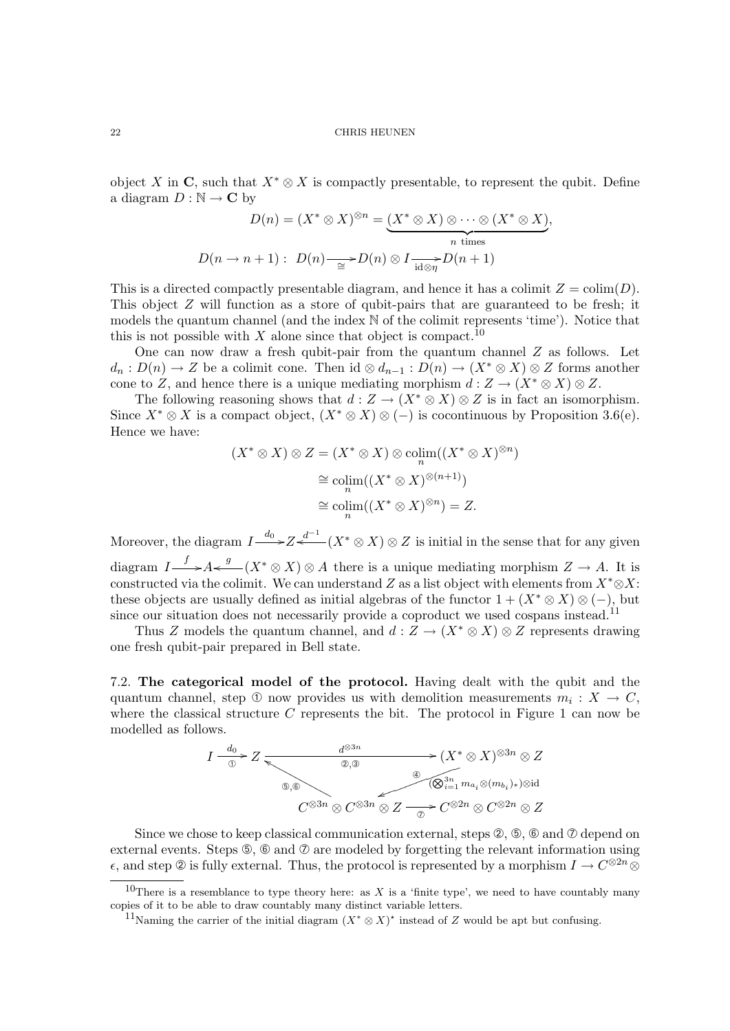object X in C, such that  $X^* \otimes X$  is compactly presentable, to represent the qubit. Define a diagram  $D : \mathbb{N} \to \mathbb{C}$  by

$$
D(n) = (X^* \otimes X)^{\otimes n} = \underbrace{(X^* \otimes X) \otimes \cdots \otimes (X^* \otimes X)}_{n \text{ times}},
$$

$$
D(n \to n+1): D(n) \xrightarrow{\simeq} D(n) \otimes I \xrightarrow{\simeq} D(n+1)
$$

This is a directed compactly presentable diagram, and hence it has a colimit  $Z = \text{colim}(D)$ . This object Z will function as a store of qubit-pairs that are guaranteed to be fresh; it models the quantum channel (and the index N of the colimit represents 'time'). Notice that this is not possible with  $X$  alone since that object is compact.<sup>10</sup>

One can now draw a fresh qubit-pair from the quantum channel Z as follows. Let  $d_n: D(n) \to Z$  be a colimit cone. Then id  $\otimes d_{n-1}: D(n) \to (X^* \otimes X) \otimes Z$  forms another cone to Z, and hence there is a unique mediating morphism  $d: Z \to (X^* \otimes X) \otimes Z$ .

The following reasoning shows that  $d: Z \to (X^* \otimes X) \otimes Z$  is in fact an isomorphism. Since  $X^* \otimes X$  is a compact object,  $(X^* \otimes X) \otimes (-)$  is cocontinuous by Proposition 3.6(e). Hence we have:

$$
(X^* \otimes X) \otimes Z = (X^* \otimes X) \otimes \underset{n}{\text{colim}}((X^* \otimes X)^{\otimes n})
$$

$$
\cong \underset{n}{\text{colim}}((X^* \otimes X)^{\otimes (n+1)})
$$

$$
\cong \underset{n}{\text{colim}}((X^* \otimes X)^{\otimes n}) = Z.
$$

Moreover, the diagram  $I \stackrel{d_0}{\longrightarrow} Z \stackrel{d^{-1}}{\longleftarrow} (X^* \otimes X) \otimes Z$  is initial in the sense that for any given diagram  $I \longrightarrow A \leftarrow g$   $(X^* \otimes X) \otimes A$  there is a unique mediating morphism  $Z \rightarrow A$ . It is constructed via the colimit. We can understand Z as a list object with elements from  $X^* \otimes X$ : these objects are usually defined as initial algebras of the functor  $1 + (X^* \otimes X) \otimes (-)$ , but since our situation does not necessarily provide a coproduct we used cospans instead.<sup>11</sup>

Thus Z models the quantum channel, and  $d: Z \to (X^* \otimes X) \otimes Z$  represents drawing one fresh qubit-pair prepared in Bell state.

7.2. The categorical model of the protocol. Having dealt with the qubit and the quantum channel, step ① now provides us with demolition measurements  $m_i: X \to C$ , where the classical structure  $C$  represents the bit. The protocol in Figure 1 can now be modelled as follows.

$$
I \xrightarrow{\begin{subarray}{c}\text{d} \otimes 3n \\ \text{d} \otimes 3n\end{subarray}} Z \xrightarrow{\begin{subarray}{c}\text{d} \otimes 3n \\ \text{d} \otimes 3n\end{subarray}} (X^* \otimes X)^{\otimes 3n} \otimes Z
$$
  

$$
\begin{subarray}{c}\text{d} \otimes 3n \\ \text{d} \otimes 3n\end{subarray}} (X^* \otimes X)^{\otimes 3n} \otimes Z
$$
  

$$
C^{\otimes 3n} \otimes C^{\otimes 3n} \otimes Z \xrightarrow{\begin{subarray}{c}\text{d} \otimes 3n \\ \text{d} \otimes 2n\end{subarray}} C^{\otimes 2n} \otimes C^{\otimes 2n} \otimes Z
$$

Since we chose to keep classical communication external, steps  $\mathcal{Q}, \mathcal{Q}, \mathcal{Q}$  and  $\mathcal{Q}$  depend on external events. Steps  $\circledS$ ,  $\circledS$  and  $\circledD$  are modeled by forgetting the relevant information using  $\epsilon$ , and step © is fully external. Thus, the protocol is represented by a morphism  $I \to C^{\otimes 2n} \otimes$ 

<sup>&</sup>lt;sup>10</sup>There is a resemblance to type theory here: as X is a 'finite type', we need to have countably many copies of it to be able to draw countably many distinct variable letters.

<sup>&</sup>lt;sup>11</sup>Naming the carrier of the initial diagram  $(X^* \otimes X)^*$  instead of Z would be apt but confusing.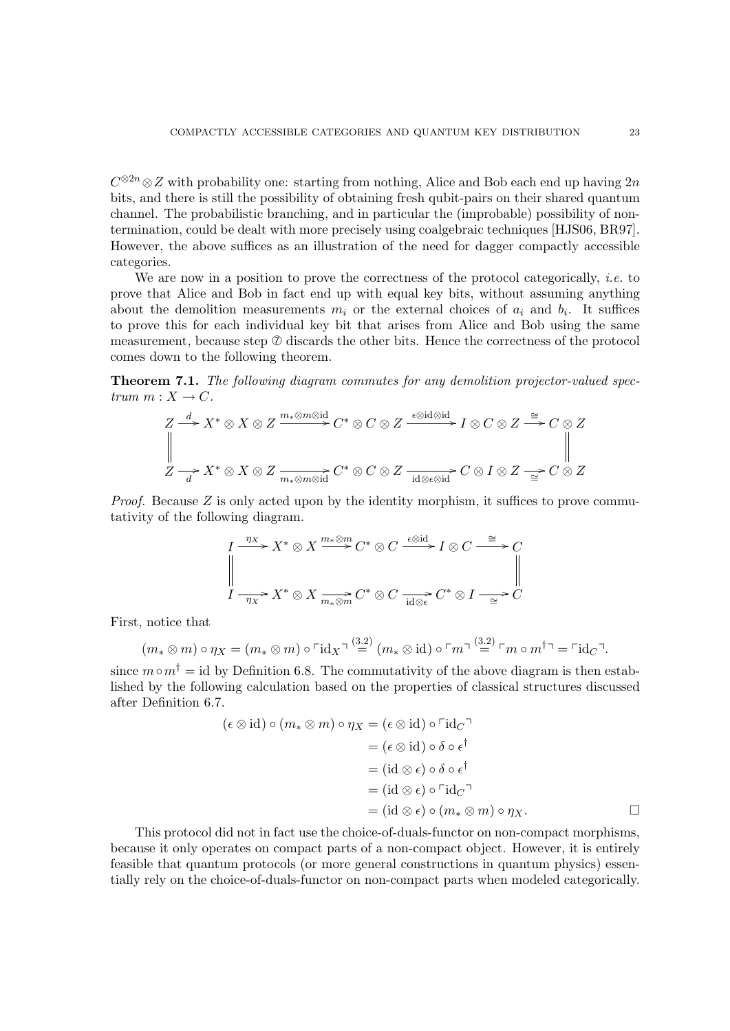$C^{\otimes 2n} \otimes Z$  with probability one: starting from nothing, Alice and Bob each end up having  $2n$ bits, and there is still the possibility of obtaining fresh qubit-pairs on their shared quantum channel. The probabilistic branching, and in particular the (improbable) possibility of nontermination, could be dealt with more precisely using coalgebraic techniques [HJS06, BR97]. However, the above suffices as an illustration of the need for dagger compactly accessible categories.

We are now in a position to prove the correctness of the protocol categorically, *i.e.* to prove that Alice and Bob in fact end up with equal key bits, without assuming anything about the demolition measurements  $m_i$  or the external choices of  $a_i$  and  $b_i$ . It suffices to prove this for each individual key bit that arises from Alice and Bob using the same measurement, because step  $\oslash$  discards the other bits. Hence the correctness of the protocol comes down to the following theorem.

Theorem 7.1. The following diagram commutes for any demolition projector-valued spectrum  $m: X \to C$ .

$$
Z \xrightarrow{d} X^* \otimes X \otimes Z \xrightarrow{m_* \otimes m \otimes id} C^* \otimes C \otimes Z \xrightarrow{\epsilon \otimes id \otimes id} I \otimes C \otimes Z \xrightarrow{\cong} C \otimes Z
$$
  

$$
\parallel
$$
  

$$
Z \xrightarrow{d} X^* \otimes X \otimes Z \xrightarrow{m_* \otimes m \otimes id} C^* \otimes C \otimes Z \xrightarrow{id \otimes \epsilon \otimes id} C \otimes I \otimes Z \xrightarrow{\cong} C \otimes Z
$$

Proof. Because Z is only acted upon by the identity morphism, it suffices to prove commutativity of the following diagram.

$$
I \xrightarrow{\eta_X} X^* \otimes X \xrightarrow{m_* \otimes m} C^* \otimes C \xrightarrow{\epsilon \otimes id} I \otimes C \xrightarrow{\cong} C
$$
  

$$
\parallel
$$
  

$$
I \xrightarrow{\eta_X} X^* \otimes X \xrightarrow{m_* \otimes m} C^* \otimes C \xrightarrow{id \otimes \epsilon} C^* \otimes I \xrightarrow{\cong} C
$$

First, notice that

$$
(m_* \otimes m) \circ \eta_X = (m_* \otimes m) \circ \ulcorner \mathrm{id}_X \urcorner \stackrel{(3.2)}{=} (m_* \otimes \mathrm{id}) \circ \ulcorner m \urcorner \stackrel{(3.2)}{=} \ulcorner m \circ m^{\dagger} \urcorner = \ulcorner \mathrm{id}_C \urcorner.
$$

since  $m \circ m^{\dagger} = id$  by Definition 6.8. The commutativity of the above diagram is then established by the following calculation based on the properties of classical structures discussed after Definition 6.7.

$$
(\epsilon \otimes id) \circ (m_* \otimes m) \circ \eta_X = (\epsilon \otimes id) \circ \ulcorner id_{C} \urcorner
$$
  
\n
$$
= (\epsilon \otimes id) \circ \delta \circ \epsilon^{\dagger}
$$
  
\n
$$
= (id \otimes \epsilon) \circ \delta \circ \epsilon^{\dagger}
$$
  
\n
$$
= (id \otimes \epsilon) \circ \ulcorner id_{C} \urcorner
$$
  
\n
$$
= (id \otimes \epsilon) \circ \ulcorner id_{C} \urcorner
$$
  
\n
$$
= (id \otimes \epsilon) \circ (m_* \otimes m) \circ \eta_X.
$$

This protocol did not in fact use the choice-of-duals-functor on non-compact morphisms, because it only operates on compact parts of a non-compact object. However, it is entirely feasible that quantum protocols (or more general constructions in quantum physics) essentially rely on the choice-of-duals-functor on non-compact parts when modeled categorically.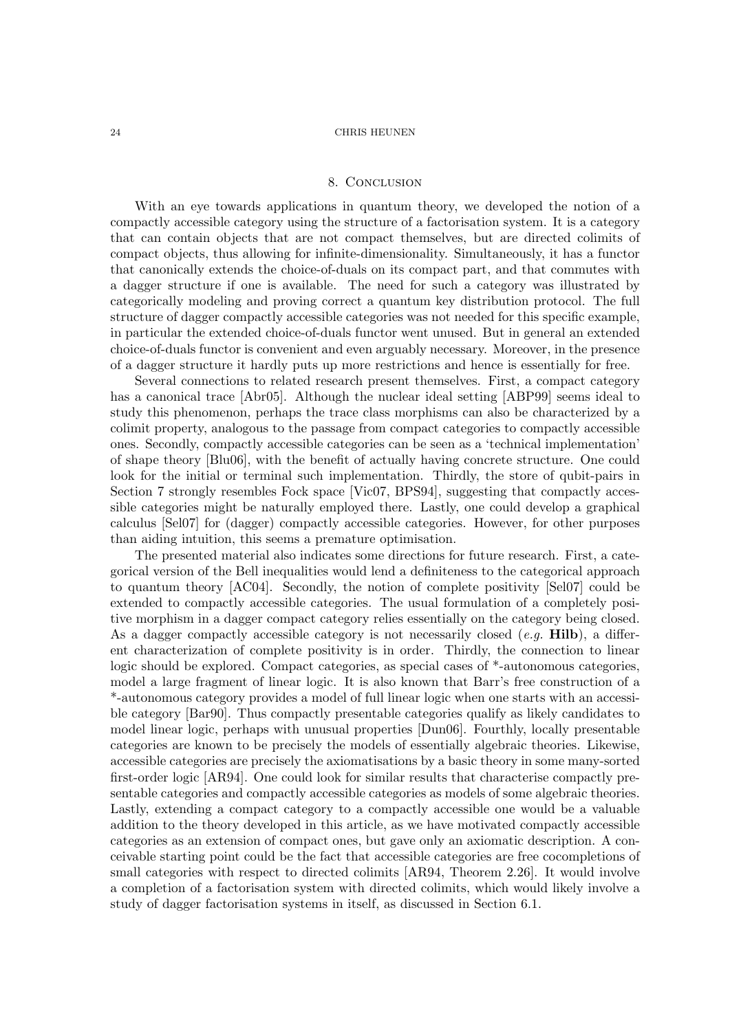# 8. CONCLUSION

With an eye towards applications in quantum theory, we developed the notion of a compactly accessible category using the structure of a factorisation system. It is a category that can contain objects that are not compact themselves, but are directed colimits of compact objects, thus allowing for infinite-dimensionality. Simultaneously, it has a functor that canonically extends the choice-of-duals on its compact part, and that commutes with a dagger structure if one is available. The need for such a category was illustrated by categorically modeling and proving correct a quantum key distribution protocol. The full structure of dagger compactly accessible categories was not needed for this specific example, in particular the extended choice-of-duals functor went unused. But in general an extended choice-of-duals functor is convenient and even arguably necessary. Moreover, in the presence of a dagger structure it hardly puts up more restrictions and hence is essentially for free.

Several connections to related research present themselves. First, a compact category has a canonical trace [Abr05]. Although the nuclear ideal setting [ABP99] seems ideal to study this phenomenon, perhaps the trace class morphisms can also be characterized by a colimit property, analogous to the passage from compact categories to compactly accessible ones. Secondly, compactly accessible categories can be seen as a 'technical implementation' of shape theory [Blu06], with the benefit of actually having concrete structure. One could look for the initial or terminal such implementation. Thirdly, the store of qubit-pairs in Section 7 strongly resembles Fock space [Vic07, BPS94], suggesting that compactly accessible categories might be naturally employed there. Lastly, one could develop a graphical calculus [Sel07] for (dagger) compactly accessible categories. However, for other purposes than aiding intuition, this seems a premature optimisation.

The presented material also indicates some directions for future research. First, a categorical version of the Bell inequalities would lend a definiteness to the categorical approach to quantum theory [AC04]. Secondly, the notion of complete positivity [Sel07] could be extended to compactly accessible categories. The usual formulation of a completely positive morphism in a dagger compact category relies essentially on the category being closed. As a dagger compactly accessible category is not necessarily closed (e.g.  $\text{Hilb}$ ), a different characterization of complete positivity is in order. Thirdly, the connection to linear logic should be explored. Compact categories, as special cases of \*-autonomous categories, model a large fragment of linear logic. It is also known that Barr's free construction of a \*-autonomous category provides a model of full linear logic when one starts with an accessible category [Bar90]. Thus compactly presentable categories qualify as likely candidates to model linear logic, perhaps with unusual properties [Dun06]. Fourthly, locally presentable categories are known to be precisely the models of essentially algebraic theories. Likewise, accessible categories are precisely the axiomatisations by a basic theory in some many-sorted first-order logic [AR94]. One could look for similar results that characterise compactly presentable categories and compactly accessible categories as models of some algebraic theories. Lastly, extending a compact category to a compactly accessible one would be a valuable addition to the theory developed in this article, as we have motivated compactly accessible categories as an extension of compact ones, but gave only an axiomatic description. A conceivable starting point could be the fact that accessible categories are free cocompletions of small categories with respect to directed colimits [AR94, Theorem 2.26]. It would involve a completion of a factorisation system with directed colimits, which would likely involve a study of dagger factorisation systems in itself, as discussed in Section 6.1.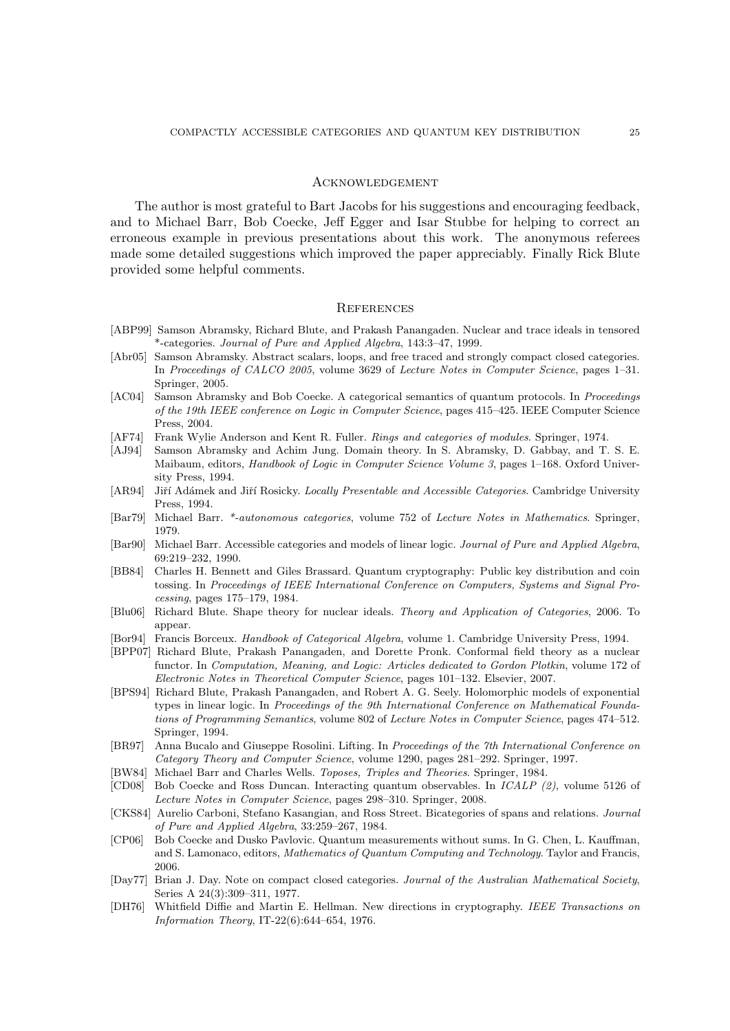# **ACKNOWLEDGEMENT**

The author is most grateful to Bart Jacobs for his suggestions and encouraging feedback, and to Michael Barr, Bob Coecke, Jeff Egger and Isar Stubbe for helping to correct an erroneous example in previous presentations about this work. The anonymous referees made some detailed suggestions which improved the paper appreciably. Finally Rick Blute provided some helpful comments.

## **REFERENCES**

- [ABP99] Samson Abramsky, Richard Blute, and Prakash Panangaden. Nuclear and trace ideals in tensored \*-categories. Journal of Pure and Applied Algebra, 143:3–47, 1999.
- [Abr05] Samson Abramsky. Abstract scalars, loops, and free traced and strongly compact closed categories. In Proceedings of CALCO 2005, volume 3629 of Lecture Notes in Computer Science, pages 1–31. Springer, 2005.
- [AC04] Samson Abramsky and Bob Coecke. A categorical semantics of quantum protocols. In Proceedings of the 19th IEEE conference on Logic in Computer Science, pages 415–425. IEEE Computer Science Press, 2004.
- [AF74] Frank Wylie Anderson and Kent R. Fuller. Rings and categories of modules. Springer, 1974.
- [AJ94] Samson Abramsky and Achim Jung. Domain theory. In S. Abramsky, D. Gabbay, and T. S. E. Maibaum, editors, *Handbook of Logic in Computer Science Volume 3*, pages 1–168. Oxford University Press, 1994.
- [AR94] Jiří Adámek and Jiří Rosicky. Locally Presentable and Accessible Categories. Cambridge University Press, 1994.
- [Bar79] Michael Barr. \*-autonomous categories, volume 752 of Lecture Notes in Mathematics. Springer, 1979.
- [Bar90] Michael Barr. Accessible categories and models of linear logic. Journal of Pure and Applied Algebra, 69:219–232, 1990.
- [BB84] Charles H. Bennett and Giles Brassard. Quantum cryptography: Public key distribution and coin tossing. In Proceedings of IEEE International Conference on Computers, Systems and Signal Processing, pages 175–179, 1984.
- [Blu06] Richard Blute. Shape theory for nuclear ideals. Theory and Application of Categories, 2006. To appear.
- [Bor94] Francis Borceux. Handbook of Categorical Algebra, volume 1. Cambridge University Press, 1994.
- [BPP07] Richard Blute, Prakash Panangaden, and Dorette Pronk. Conformal field theory as a nuclear functor. In Computation, Meaning, and Logic: Articles dedicated to Gordon Plotkin, volume 172 of Electronic Notes in Theoretical Computer Science, pages 101–132. Elsevier, 2007.
- [BPS94] Richard Blute, Prakash Panangaden, and Robert A. G. Seely. Holomorphic models of exponential types in linear logic. In Proceedings of the 9th International Conference on Mathematical Foundations of Programming Semantics, volume 802 of Lecture Notes in Computer Science, pages 474–512. Springer, 1994.
- [BR97] Anna Bucalo and Giuseppe Rosolini. Lifting. In Proceedings of the 7th International Conference on Category Theory and Computer Science, volume 1290, pages 281–292. Springer, 1997.
- [BW84] Michael Barr and Charles Wells. Toposes, Triples and Theories. Springer, 1984.
- [CD08] Bob Coecke and Ross Duncan. Interacting quantum observables. In ICALP (2), volume 5126 of Lecture Notes in Computer Science, pages 298–310. Springer, 2008.
- [CKS84] Aurelio Carboni, Stefano Kasangian, and Ross Street. Bicategories of spans and relations. Journal of Pure and Applied Algebra, 33:259–267, 1984.
- [CP06] Bob Coecke and Dusko Pavlovic. Quantum measurements without sums. In G. Chen, L. Kauffman, and S. Lamonaco, editors, Mathematics of Quantum Computing and Technology. Taylor and Francis, 2006.
- [Day77] Brian J. Day. Note on compact closed categories. Journal of the Australian Mathematical Society, Series A 24(3):309–311, 1977.
- [DH76] Whitfield Diffie and Martin E. Hellman. New directions in cryptography. IEEE Transactions on Information Theory, IT-22(6):644–654, 1976.